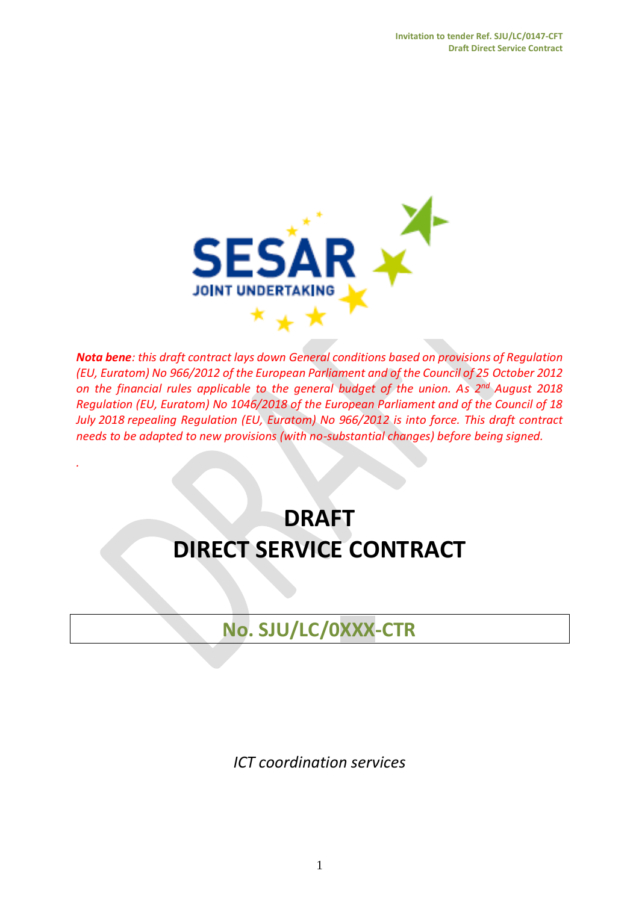

*Nota bene: this draft contract lays down General conditions based on provisions of Regulation (EU, Euratom) No 966/2012 of the European Parliament and of the Council of 25 October 2012 on the financial rules applicable to the general budget of the union. As 2 nd August 2018 Regulation (EU, Euratom) No 1046/2018 of the European Parliament and of the Council of 18 July 2018 repealing Regulation (EU, Euratom) No 966/2012 is into force. This draft contract needs to be adapted to new provisions (with no-substantial changes) before being signed.*

# **DRAFT DIRECT SERVICE CONTRACT**

*.*

**No. SJU/LC/0XXX-CTR**

*ICT coordination services*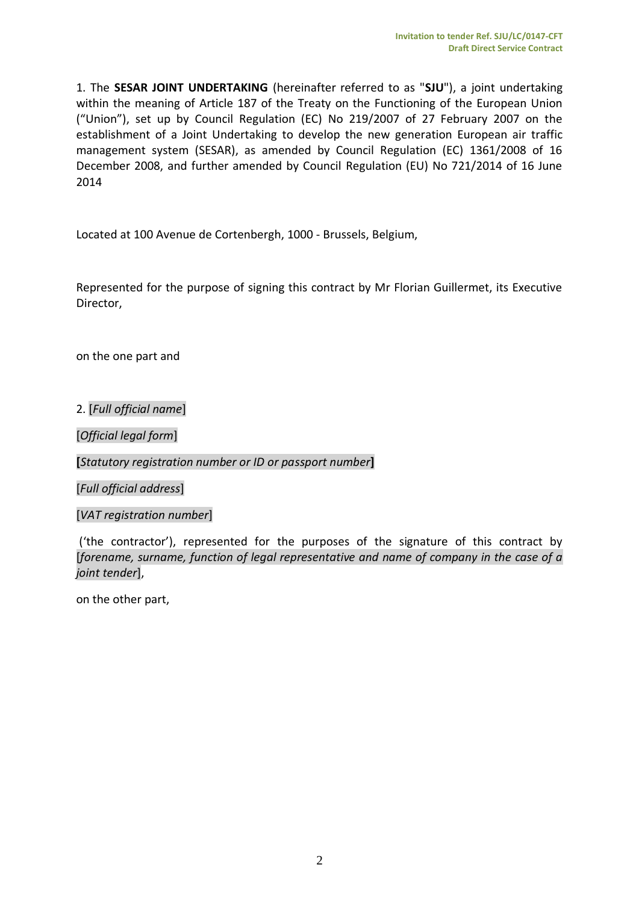1. The **SESAR JOINT UNDERTAKING** (hereinafter referred to as "**SJU**"), a joint undertaking within the meaning of Article 187 of the Treaty on the Functioning of the European Union ("Union"), set up by Council Regulation (EC) No 219/2007 of 27 February 2007 on the establishment of a Joint Undertaking to develop the new generation European air traffic management system (SESAR), as amended by Council Regulation (EC) 1361/2008 of 16 December 2008, and further amended by Council Regulation (EU) No 721/2014 of 16 June 2014

Located at 100 Avenue de Cortenbergh, 1000 - Brussels, Belgium,

Represented for the purpose of signing this contract by Mr Florian Guillermet, its Executive Director,

on the one part and

2. [*Full official name*]

[*Official legal form*]

**[***Statutory registration number or ID or passport number***]**

[*Full official address*]

[*VAT registration number*]

('the contractor'), represented for the purposes of the signature of this contract by [*forename, surname, function of legal representative and name of company in the case of a joint tender*],

on the other part,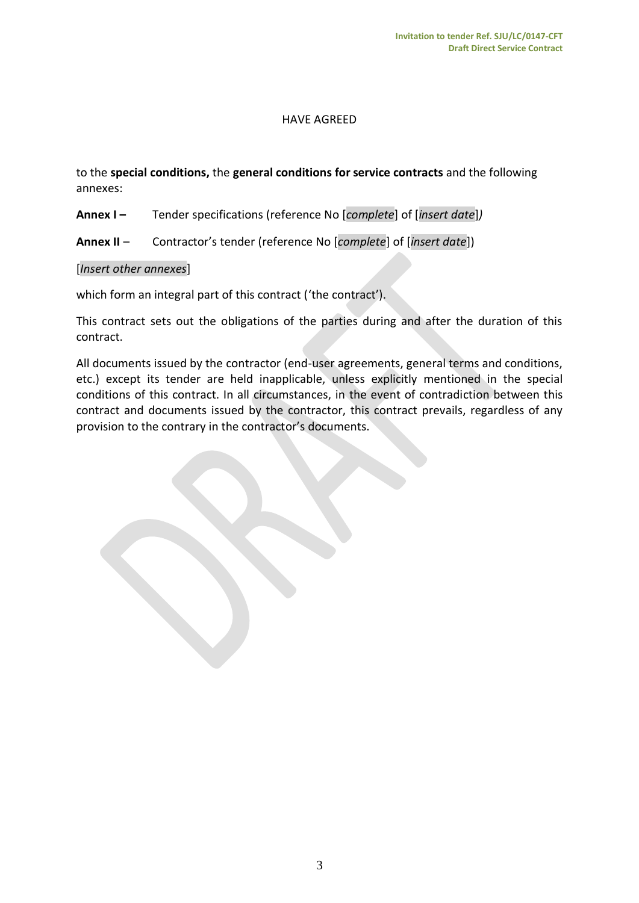#### HAVE AGREED

to the **special conditions,** the **general conditions for service contracts** and the following annexes:

- **Annex I –** Tender specifications (reference No [*complete*] of [*insert date*]*)*
- **Annex II** Contractor's tender (reference No [*complete*] of [*insert date*])

#### [*Insert other annexes*]

which form an integral part of this contract ('the contract').

This contract sets out the obligations of the parties during and after the duration of this contract.

All documents issued by the contractor (end-user agreements, general terms and conditions, etc.) except its tender are held inapplicable, unless explicitly mentioned in the special conditions of this contract. In all circumstances, in the event of contradiction between this contract and documents issued by the contractor, this contract prevails, regardless of any provision to the contrary in the contractor's documents.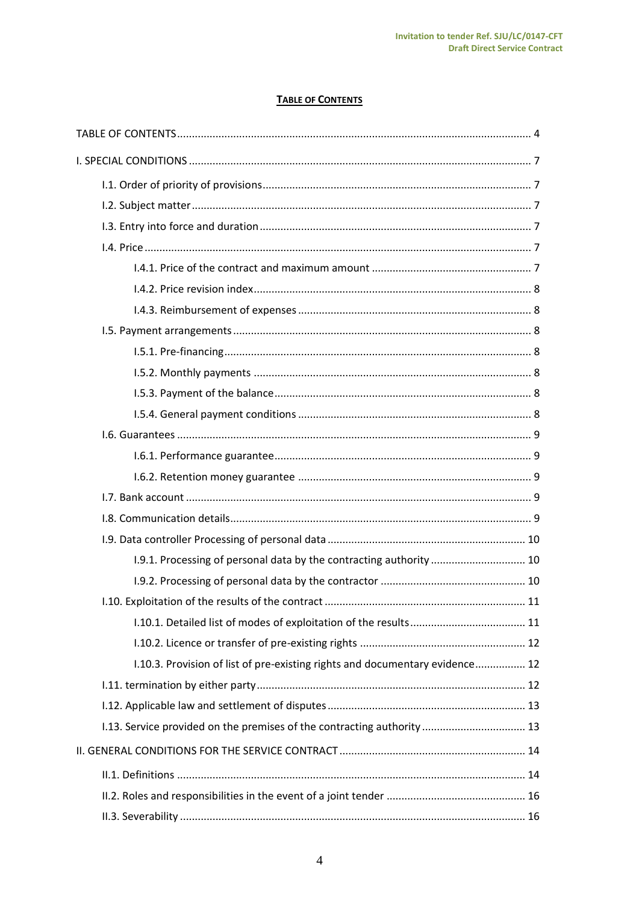#### **TABLE OF CONTENTS**

<span id="page-3-0"></span>

| 1.9.1. Processing of personal data by the contracting authority  10          |  |
|------------------------------------------------------------------------------|--|
|                                                                              |  |
|                                                                              |  |
|                                                                              |  |
|                                                                              |  |
| 1.10.3. Provision of list of pre-existing rights and documentary evidence 12 |  |
|                                                                              |  |
|                                                                              |  |
| 1.13. Service provided on the premises of the contracting authority  13      |  |
|                                                                              |  |
|                                                                              |  |
|                                                                              |  |
|                                                                              |  |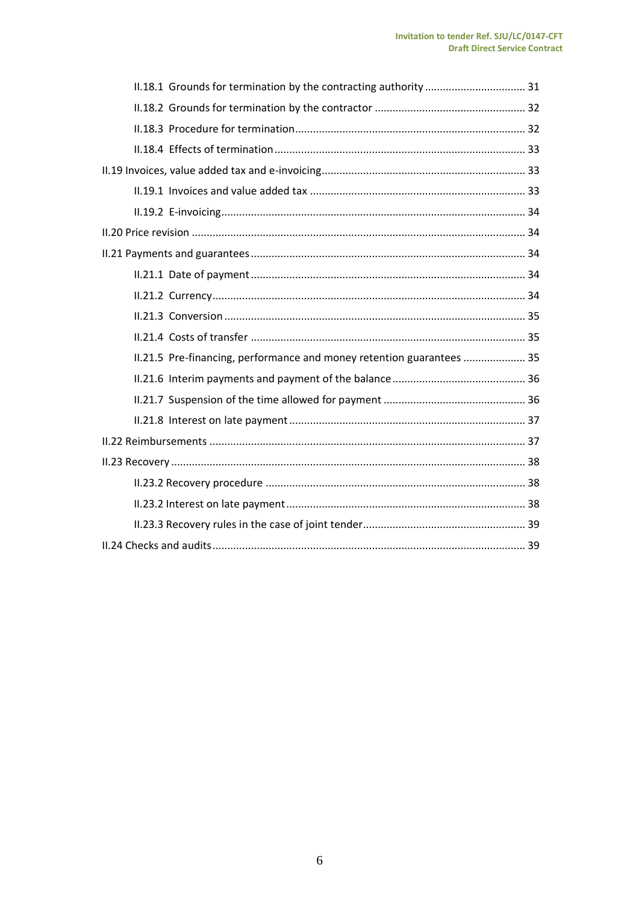| II.18.1 Grounds for termination by the contracting authority  31      |  |  |  |
|-----------------------------------------------------------------------|--|--|--|
|                                                                       |  |  |  |
|                                                                       |  |  |  |
|                                                                       |  |  |  |
|                                                                       |  |  |  |
|                                                                       |  |  |  |
|                                                                       |  |  |  |
|                                                                       |  |  |  |
|                                                                       |  |  |  |
|                                                                       |  |  |  |
|                                                                       |  |  |  |
|                                                                       |  |  |  |
|                                                                       |  |  |  |
| II.21.5 Pre-financing, performance and money retention guarantees  35 |  |  |  |
|                                                                       |  |  |  |
|                                                                       |  |  |  |
|                                                                       |  |  |  |
|                                                                       |  |  |  |
|                                                                       |  |  |  |
|                                                                       |  |  |  |
|                                                                       |  |  |  |
|                                                                       |  |  |  |
|                                                                       |  |  |  |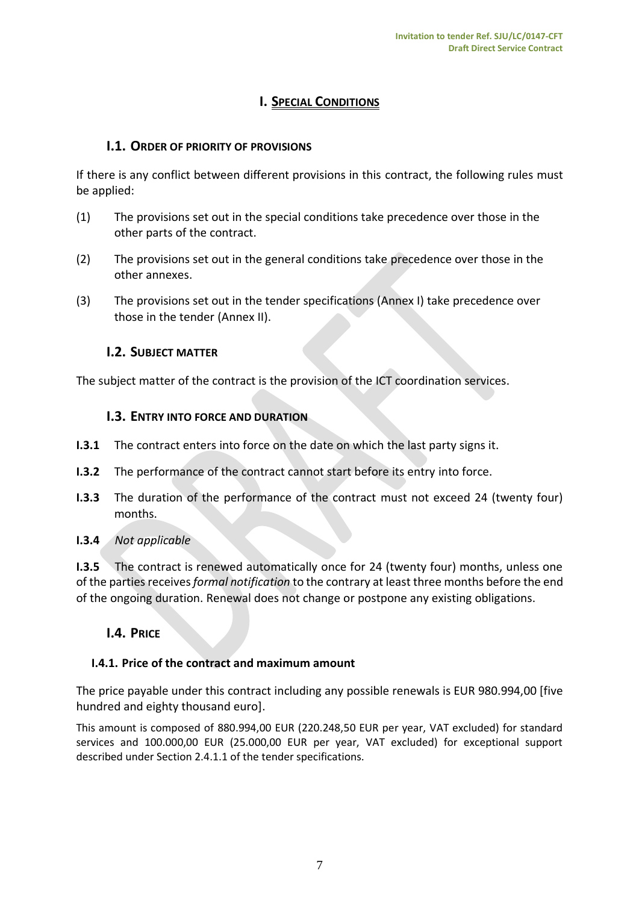# **I. SPECIAL CONDITIONS**

# <span id="page-6-1"></span><span id="page-6-0"></span>**I.1. ORDER OF PRIORITY OF PROVISIONS**

If there is any conflict between different provisions in this contract, the following rules must be applied:

- (1) The provisions set out in the special conditions take precedence over those in the other parts of the contract.
- (2) The provisions set out in the general conditions take precedence over those in the other annexes.
- <span id="page-6-2"></span>(3) The provisions set out in the tender specifications (Annex I) take precedence over those in the tender (Annex II).

# **I.2. SUBJECT MATTER**

<span id="page-6-3"></span>The subject matter of the contract is the provision of the ICT coordination services.

# **I.3. ENTRY INTO FORCE AND DURATION**

- **I.3.1** The contract enters into force on the date on which the last party signs it.
- **I.3.2** The performance of the contract cannot start before its entry into force.
- **I.3.3** The duration of the performance of the contract must not exceed 24 (twenty four) months.
- **I.3.4** *Not applicable*

**I.3.5** The contract is renewed automatically once for 24 (twenty four) months, unless one of the parties receives *formal notification* to the contrary at least three months before the end of the ongoing duration. Renewal does not change or postpone any existing obligations.

# <span id="page-6-4"></span>**I.4. PRICE**

## <span id="page-6-5"></span>**I.4.1. Price of the contract and maximum amount**

The price payable under this contract including any possible renewals is EUR 980.994,00 [five hundred and eighty thousand euro].

This amount is composed of 880.994,00 EUR (220.248,50 EUR per year, VAT excluded) for standard services and 100.000,00 EUR (25.000,00 EUR per year, VAT excluded) for exceptional support described under Section 2.4.1.1 of the tender specifications.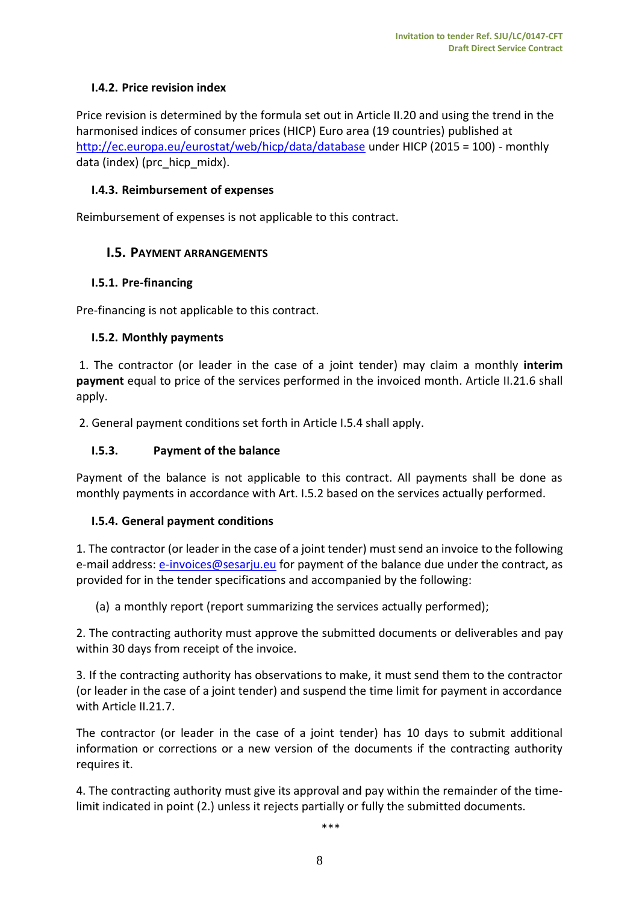# <span id="page-7-0"></span>**I.4.2. Price revision index**

Price revision is determined by the formula set out in Article II.20 and using the trend in the harmonised indices of consumer prices (HICP) Euro area (19 countries) published at <http://ec.europa.eu/eurostat/web/hicp/data/database> under HICP (2015 = 100) - monthly data (index) (prc\_hicp\_midx).

#### <span id="page-7-1"></span>**I.4.3. Reimbursement of expenses**

<span id="page-7-2"></span>Reimbursement of expenses is not applicable to this contract.

## **I.5. PAYMENT ARRANGEMENTS**

## <span id="page-7-3"></span>**I.5.1. Pre-financing**

Pre-financing is not applicable to this contract.

## <span id="page-7-4"></span>**I.5.2. Monthly payments**

1. The contractor (or leader in the case of a joint tender) may claim a monthly **interim payment** equal to price of the services performed in the invoiced month. Article II.21.6 shall apply.

2. General payment conditions set forth in Article I.5.4 shall apply.

## <span id="page-7-5"></span>**I.5.3. Payment of the balance**

Payment of the balance is not applicable to this contract. All payments shall be done as monthly payments in accordance with Art. I.5.2 based on the services actually performed.

## <span id="page-7-6"></span>**I.5.4. General payment conditions**

1. The contractor (or leader in the case of a joint tender) must send an invoice to the following e-mail address: [e-invoices@sesarju.eu](mailto:e-invoices@sesarju.eu) for payment of the balance due under the contract, as provided for in the tender specifications and accompanied by the following:

(a) a monthly report (report summarizing the services actually performed);

2. The contracting authority must approve the submitted documents or deliverables and pay within 30 days from receipt of the invoice.

3. If the contracting authority has observations to make, it must send them to the contractor (or leader in the case of a joint tender) and suspend the time limit for payment in accordance with Article II.21.7.

The contractor (or leader in the case of a joint tender) has 10 days to submit additional information or corrections or a new version of the documents if the contracting authority requires it.

4. The contracting authority must give its approval and pay within the remainder of the timelimit indicated in point (2.) unless it rejects partially or fully the submitted documents.

\*\*\*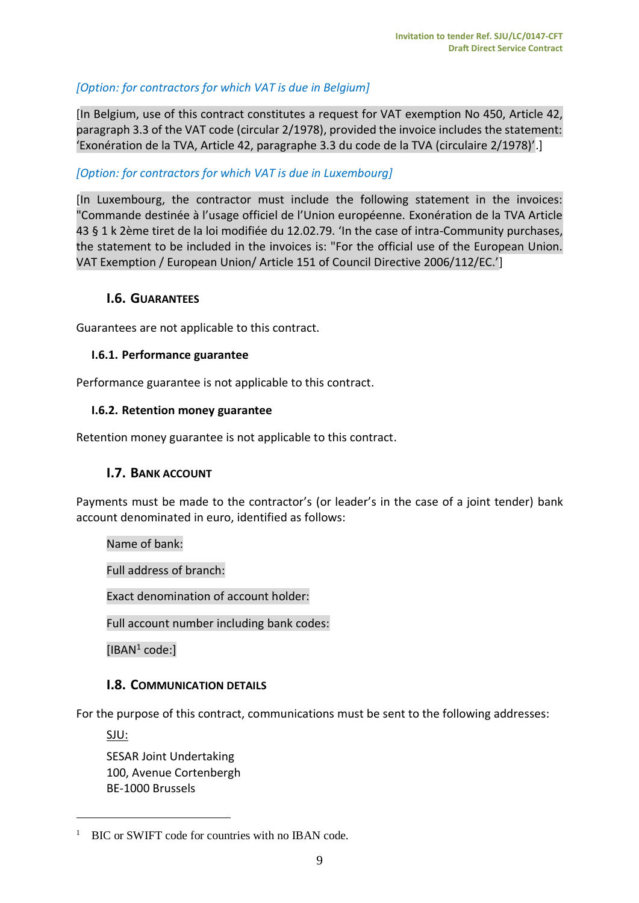# *[Option: for contractors for which VAT is due in Belgium]*

[In Belgium, use of this contract constitutes a request for VAT exemption No 450, Article 42, paragraph 3.3 of the VAT code (circular 2/1978), provided the invoice includes the statement: 'Exonération de la TVA, Article 42, paragraphe 3.3 du code de la TVA (circulaire 2/1978)'.]

#### *[Option: for contractors for which VAT is due in Luxembourg]*

[In Luxembourg, the contractor must include the following statement in the invoices: "Commande destinée à l'usage officiel de l'Union européenne. Exonération de la TVA Article 43 § 1 k 2ème tiret de la loi modifiée du 12.02.79. 'In the case of intra-Community purchases, the statement to be included in the invoices is: "For the official use of the European Union. VAT Exemption / European Union/ Article 151 of Council Directive 2006/112/EC.']

#### <span id="page-8-0"></span>**I.6. GUARANTEES**

<span id="page-8-1"></span>Guarantees are not applicable to this contract.

#### **I.6.1. Performance guarantee**

Performance guarantee is not applicable to this contract.

#### <span id="page-8-2"></span>**I.6.2. Retention money guarantee**

<span id="page-8-3"></span>Retention money guarantee is not applicable to this contract.

## **I.7. BANK ACCOUNT**

Payments must be made to the contractor's (or leader's in the case of a joint tender) bank account denominated in euro, identified as follows:

Name of bank:

Full address of branch:

Exact denomination of account holder:

Full account number including bank codes:

[IBAN<sup>1</sup> code:]

## <span id="page-8-4"></span>**I.8. COMMUNICATION DETAILS**

For the purpose of this contract, communications must be sent to the following addresses:

SJU:

 $\overline{a}$ 

SESAR Joint Undertaking 100, Avenue Cortenbergh BE-1000 Brussels

<sup>&</sup>lt;sup>1</sup> BIC or SWIFT code for countries with no IBAN code.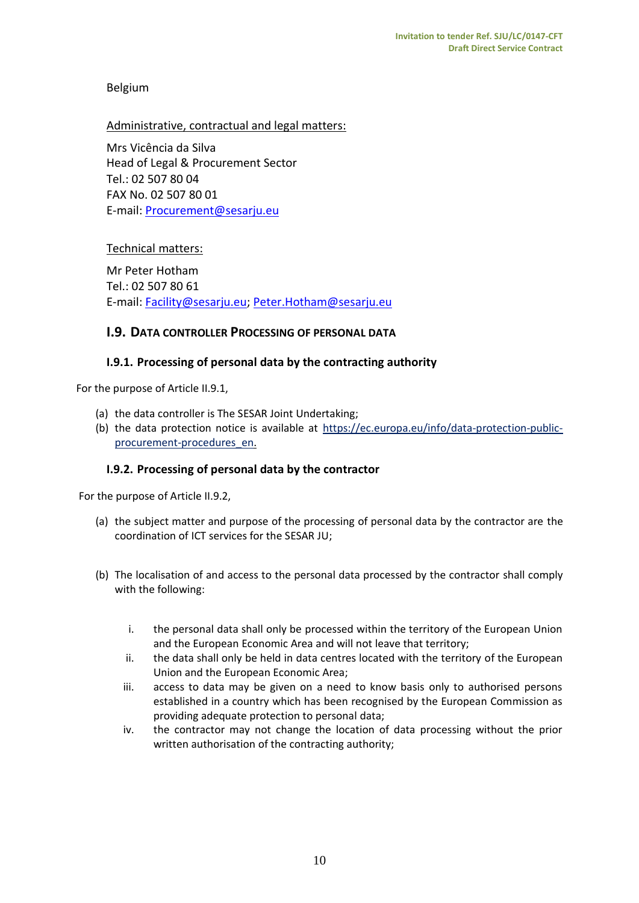## Belgium

#### Administrative, contractual and legal matters:

Mrs Vicência da Silva Head of Legal & Procurement Sector Tel.: 02 507 80 04 FAX No. 02 507 80 01 E-mail: [Procurement@sesarju.eu](mailto:Procurement@sesarju.eu)

#### Technical matters:

Mr Peter Hotham Tel.: 02 507 80 61 E-mail: [Facility@sesarju.eu;](mailto:Facility@sesarju.eu) Peter.Hotham@sesarju.eu

#### <span id="page-9-0"></span>**I.9. DATA CONTROLLER PROCESSING OF PERSONAL DATA**

#### <span id="page-9-1"></span>**I.9.1. Processing of personal data by the contracting authority**

For the purpose of Article II.9.1,

- (a) the data controller is The SESAR Joint Undertaking;
- (b) the data protection notice is available at [https://ec.europa.eu/info/data-protection-public](https://ec.europa.eu/info/data-protection-public-procurement-procedures_en)[procurement-procedures\\_en.](https://ec.europa.eu/info/data-protection-public-procurement-procedures_en)

#### <span id="page-9-2"></span>**I.9.2. Processing of personal data by the contractor**

For the purpose of Article II.9.2,

- (a) the subject matter and purpose of the processing of personal data by the contractor are the coordination of ICT services for the SESAR JU;
- (b) The localisation of and access to the personal data processed by the contractor shall comply with the following:
	- i. the personal data shall only be processed within the territory of the European Union and the European Economic Area and will not leave that territory;
	- ii. the data shall only be held in data centres located with the territory of the European Union and the European Economic Area;
	- iii. access to data may be given on a need to know basis only to authorised persons established in a country which has been recognised by the European Commission as providing adequate protection to personal data;
	- iv. the contractor may not change the location of data processing without the prior written authorisation of the contracting authority;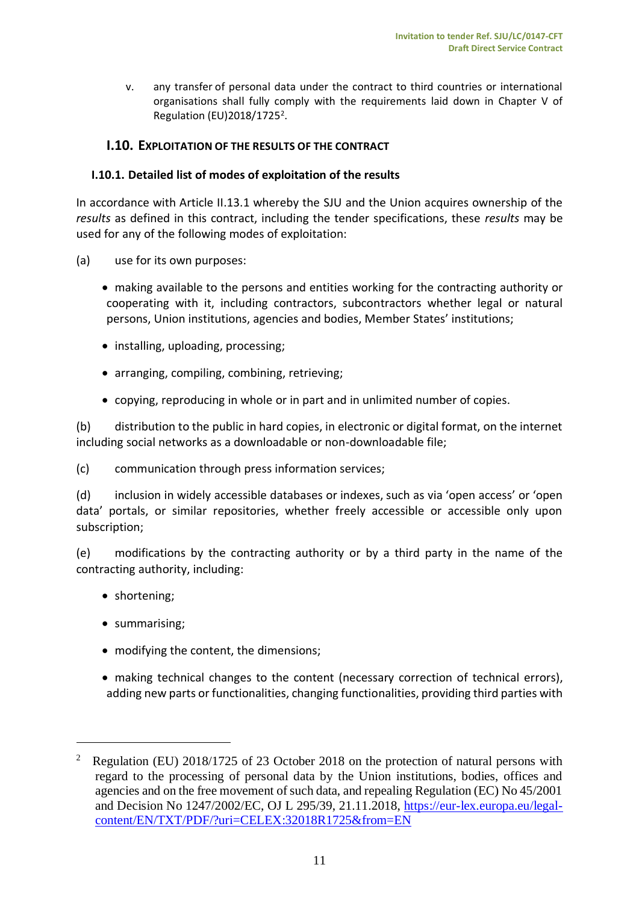v. any transfer of personal data under the contract to third countries or international organisations shall fully comply with the requirements laid down in Chapter V of Regulation (EU) 2018/1725<sup>2</sup>.

## <span id="page-10-0"></span>**I.10. EXPLOITATION OF THE RESULTS OF THE CONTRACT**

## <span id="page-10-1"></span>**I.10.1. Detailed list of modes of exploitation of the results**

In accordance with Article II.13.1 whereby the SJU and the Union acquires ownership of the *results* as defined in this contract, including the tender specifications, these *results* may be used for any of the following modes of exploitation:

- (a) use for its own purposes:
	- making available to the persons and entities working for the contracting authority or cooperating with it, including contractors, subcontractors whether legal or natural persons, Union institutions, agencies and bodies, Member States' institutions;
	- installing, uploading, processing;
	- arranging, compiling, combining, retrieving;
	- copying, reproducing in whole or in part and in unlimited number of copies.

(b) distribution to the public in hard copies, in electronic or digital format, on the internet including social networks as a downloadable or non-downloadable file;

(c) communication through press information services;

(d) inclusion in widely accessible databases or indexes, such as via 'open access' or 'open data' portals, or similar repositories, whether freely accessible or accessible only upon subscription;

(e) modifications by the contracting authority or by a third party in the name of the contracting authority, including:

- shortening;
- summarising;

 $\overline{a}$ 

- modifying the content, the dimensions;
- making technical changes to the content (necessary correction of technical errors), adding new parts or functionalities, changing functionalities, providing third parties with

<sup>2</sup> Regulation (EU) 2018/1725 of 23 October 2018 on the protection of natural persons with regard to the processing of personal data by the Union institutions, bodies, offices and agencies and on the free movement of such data, and repealing Regulation (EC) No 45/2001 and Decision No 1247/2002/EC, OJ L 295/39, 21.11.2018, [https://eur-lex.europa.eu/legal](https://eur-lex.europa.eu/legal-content/EN/TXT/PDF/?uri=CELEX:32018R1725&from=EN)[content/EN/TXT/PDF/?uri=CELEX:32018R1725&from=EN](https://eur-lex.europa.eu/legal-content/EN/TXT/PDF/?uri=CELEX:32018R1725&from=EN)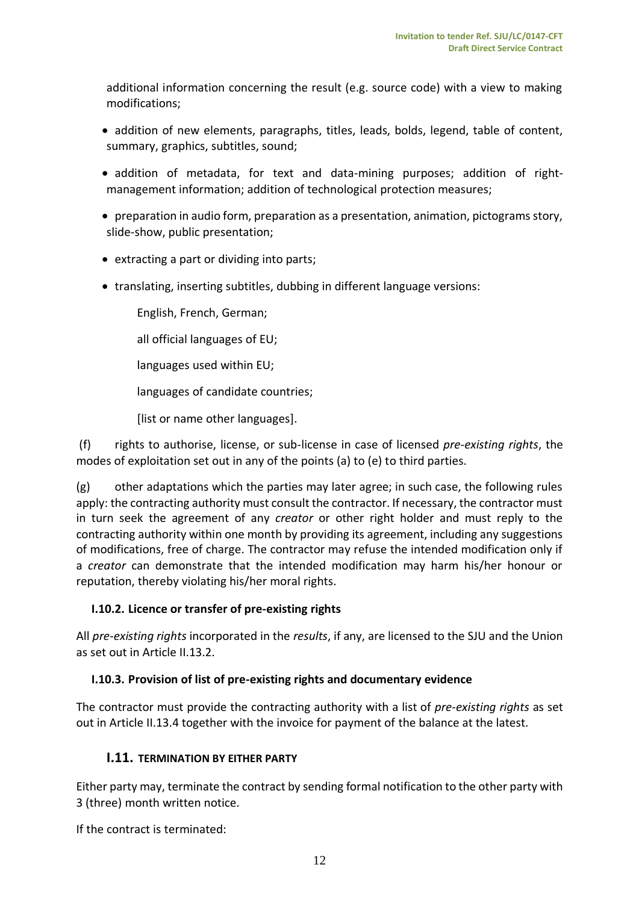additional information concerning the result (e.g. source code) with a view to making modifications;

- addition of new elements, paragraphs, titles, leads, bolds, legend, table of content, summary, graphics, subtitles, sound;
- addition of metadata, for text and data-mining purposes; addition of rightmanagement information; addition of technological protection measures;
- preparation in audio form, preparation as a presentation, animation, pictograms story, slide-show, public presentation;
- extracting a part or dividing into parts;
- translating, inserting subtitles, dubbing in different language versions:

English, French, German;

all official languages of EU;

- languages used within EU;
- languages of candidate countries;

[list or name other languages].

(f) rights to authorise, license, or sub-license in case of licensed *pre-existing rights*, the modes of exploitation set out in any of the points (a) to (e) to third parties.

(g) other adaptations which the parties may later agree; in such case, the following rules apply: the contracting authority must consult the contractor. If necessary, the contractor must in turn seek the agreement of any *creator* or other right holder and must reply to the contracting authority within one month by providing its agreement, including any suggestions of modifications, free of charge. The contractor may refuse the intended modification only if a *creator* can demonstrate that the intended modification may harm his/her honour or reputation, thereby violating his/her moral rights.

## <span id="page-11-0"></span>**I.10.2. Licence or transfer of pre-existing rights**

All *pre-existing rights* incorporated in the *results*, if any, are licensed to the SJU and the Union as set out in Article II.13.2.

## <span id="page-11-1"></span>**I.10.3. Provision of list of pre-existing rights and documentary evidence**

<span id="page-11-2"></span>The contractor must provide the contracting authority with a list of *pre-existing rights* as set out in Article II.13.4 together with the invoice for payment of the balance at the latest.

## **I.11. TERMINATION BY EITHER PARTY**

Either party may, terminate the contract by sending formal notification to the other party with 3 (three) month written notice.

If the contract is terminated: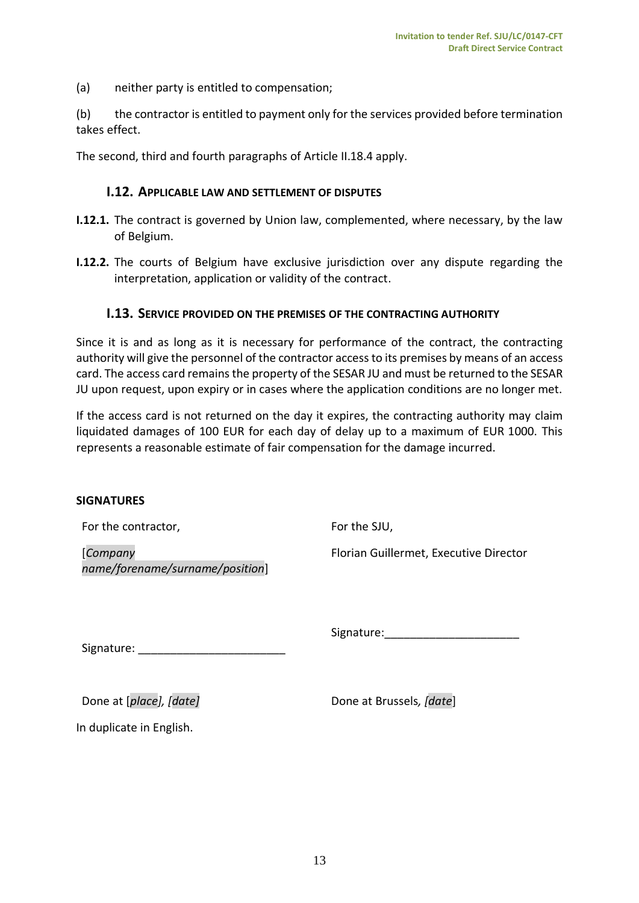(a) neither party is entitled to compensation;

(b) the contractor is entitled to payment only for the services provided before termination takes effect.

<span id="page-12-0"></span>The second, third and fourth paragraphs of Article II.18.4 apply.

#### **I.12. APPLICABLE LAW AND SETTLEMENT OF DISPUTES**

- **I.12.1.** The contract is governed by Union law, complemented, where necessary, by the law of Belgium.
- <span id="page-12-1"></span>**I.12.2.** The courts of Belgium have exclusive jurisdiction over any dispute regarding the interpretation, application or validity of the contract.

#### **I.13. SERVICE PROVIDED ON THE PREMISES OF THE CONTRACTING AUTHORITY**

Since it is and as long as it is necessary for performance of the contract, the contracting authority will give the personnel of the contractor access to its premises by means of an access card. The access card remains the property of the SESAR JU and must be returned to the SESAR JU upon request, upon expiry or in cases where the application conditions are no longer met.

If the access card is not returned on the day it expires, the contracting authority may claim liquidated damages of 100 EUR for each day of delay up to a maximum of EUR 1000. This represents a reasonable estimate of fair compensation for the damage incurred.

#### **SIGNATURES**

|  | For the contractor, |
|--|---------------------|
|--|---------------------|

[*Company name/forename/surname/position*] For the SJU,

Florian Guillermet, Executive Director

Signature:\_\_\_\_\_\_\_\_\_\_\_\_\_\_\_\_\_\_\_\_\_

Signature: \_\_\_\_\_\_\_\_\_\_\_\_\_\_\_\_\_\_\_\_\_\_\_

Done at [*place],* [date] Done at Brussels, [date]

In duplicate in English.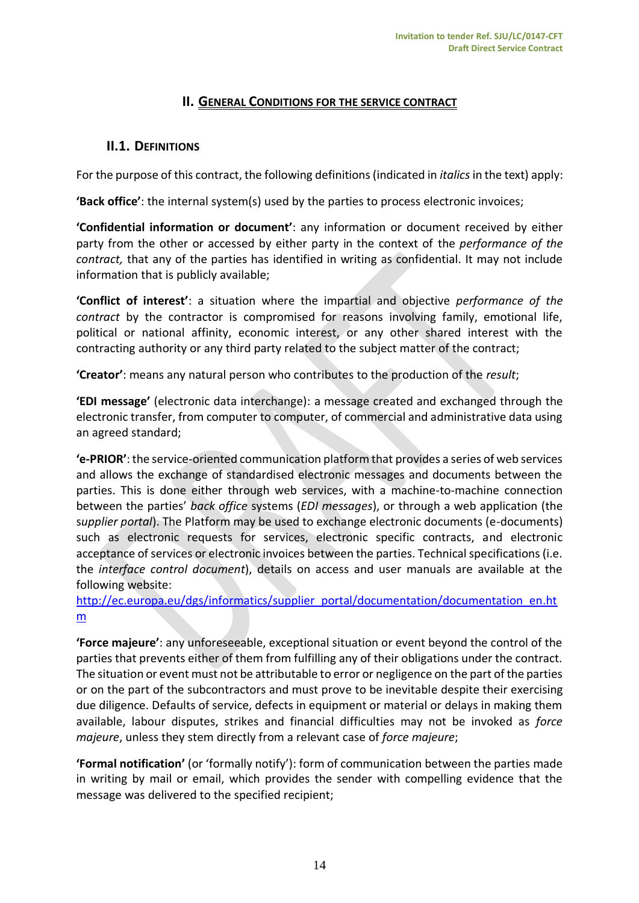# **II. GENERAL CONDITIONS FOR THE SERVICE CONTRACT**

# <span id="page-13-1"></span><span id="page-13-0"></span>**II.1. DEFINITIONS**

For the purpose of this contract, the following definitions (indicated in *italics* in the text) apply:

**'Back office'**: the internal system(s) used by the parties to process electronic invoices;

**'Confidential information or document'**: any information or document received by either party from the other or accessed by either party in the context of the *performance of the contract,* that any of the parties has identified in writing as confidential. It may not include information that is publicly available;

**'Conflict of interest'**: a situation where the impartial and objective *performance of the contract* by the contractor is compromised for reasons involving family, emotional life, political or national affinity, economic interest, or any other shared interest with the contracting authority or any third party related to the subject matter of the contract;

**'Creator'**: means any natural person who contributes to the production of the *result*;

**'EDI message'** (electronic data interchange): a message created and exchanged through the electronic transfer, from computer to computer, of commercial and administrative data using an agreed standard;

**'e-PRIOR'**: the service-oriented communication platform that provides a series of web services and allows the exchange of standardised electronic messages and documents between the parties. This is done either through web services, with a machine-to-machine connection between the parties' *back office* systems (*EDI messages*), or through a web application (the s*upplier portal*). The Platform may be used to exchange electronic documents (e-documents) such as electronic requests for services, electronic specific contracts, and electronic acceptance of services or electronic invoices between the parties. Technical specifications (i.e. the *interface control document*), details on access and user manuals are available at the following website:

[http://ec.europa.eu/dgs/informatics/supplier\\_portal/documentation/documentation\\_en.ht](http://ec.europa.eu/dgs/informatics/supplier_portal/documentation/documentation_en.htm) [m](http://ec.europa.eu/dgs/informatics/supplier_portal/documentation/documentation_en.htm)

**'Force majeure'**: any unforeseeable, exceptional situation or event beyond the control of the parties that prevents either of them from fulfilling any of their obligations under the contract. The situation or event must not be attributable to error or negligence on the part of the parties or on the part of the subcontractors and must prove to be inevitable despite their exercising due diligence. Defaults of service, defects in equipment or material or delays in making them available, labour disputes, strikes and financial difficulties may not be invoked as *force majeure*, unless they stem directly from a relevant case of *force majeure*;

**'Formal notification'** (or 'formally notify'): form of communication between the parties made in writing by mail or email, which provides the sender with compelling evidence that the message was delivered to the specified recipient;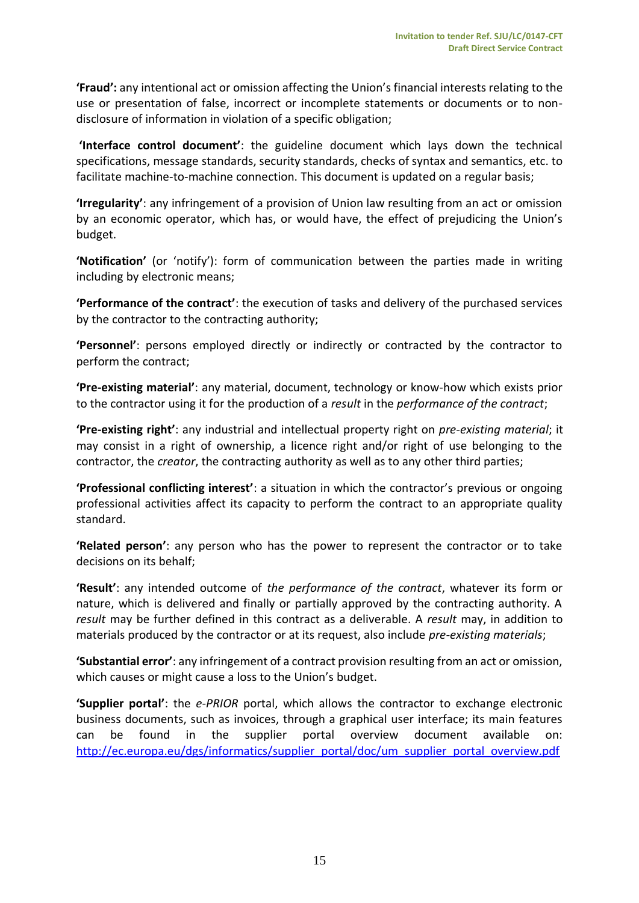**'Fraud':** any intentional act or omission affecting the Union's financial interests relating to the use or presentation of false, incorrect or incomplete statements or documents or to nondisclosure of information in violation of a specific obligation;

**'Interface control document'**: the guideline document which lays down the technical specifications, message standards, security standards, checks of syntax and semantics, etc. to facilitate machine-to-machine connection. This document is updated on a regular basis;

**'Irregularity'**: any infringement of a provision of Union law resulting from an act or omission by an economic operator, which has, or would have, the effect of prejudicing the Union's budget.

**'Notification'** (or 'notify'): form of communication between the parties made in writing including by electronic means;

**'Performance of the contract'**: the execution of tasks and delivery of the purchased services by the contractor to the contracting authority;

**'Personnel'**: persons employed directly or indirectly or contracted by the contractor to perform the contract;

**'Pre-existing material'**: any material, document, technology or know-how which exists prior to the contractor using it for the production of a *result* in the *performance of the contract*;

**'Pre-existing right'**: any industrial and intellectual property right on *pre-existing material*; it may consist in a right of ownership, a licence right and/or right of use belonging to the contractor, the *creator*, the contracting authority as well as to any other third parties;

**'Professional conflicting interest'**: a situation in which the contractor's previous or ongoing professional activities affect its capacity to perform the contract to an appropriate quality standard.

**'Related person'**: any person who has the power to represent the contractor or to take decisions on its behalf;

**'Result'**: any intended outcome of *the performance of the contract*, whatever its form or nature, which is delivered and finally or partially approved by the contracting authority. A *result* may be further defined in this contract as a deliverable. A *result* may, in addition to materials produced by the contractor or at its request, also include *pre-existing materials*;

**'Substantial error'**: any infringement of a contract provision resulting from an act or omission, which causes or might cause a loss to the Union's budget.

**'Supplier portal'**: the *e-PRIOR* portal, which allows the contractor to exchange electronic business documents, such as invoices, through a graphical user interface; its main features can be found in the supplier portal overview document available on: [http://ec.europa.eu/dgs/informatics/supplier\\_portal/doc/um\\_supplier\\_portal\\_overview.pdf](http://ec.europa.eu/dgs/informatics/supplier_portal/doc/um_supplier_portal_overview.pdf)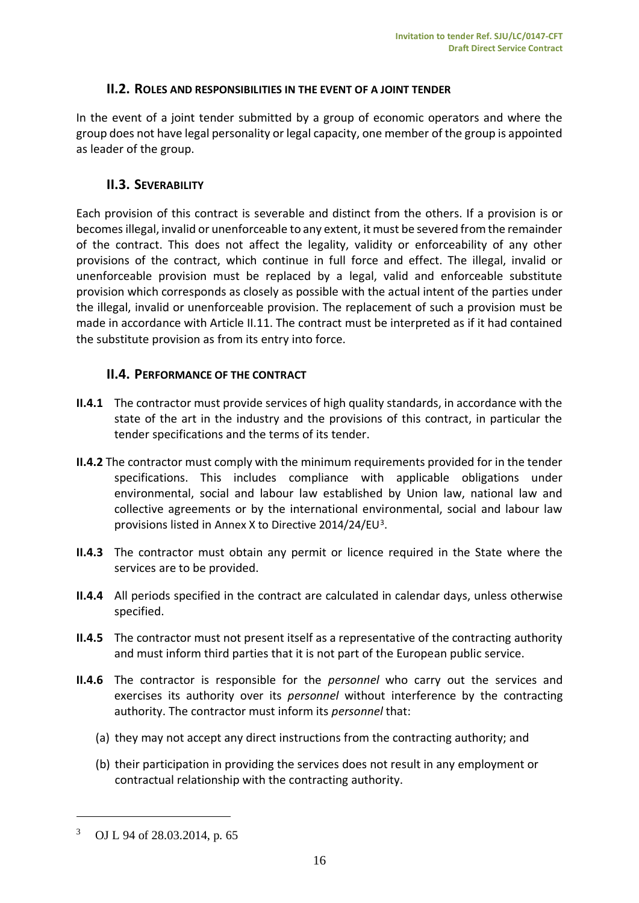#### **II.2. ROLES AND RESPONSIBILITIES IN THE EVENT OF A JOINT TENDER**

<span id="page-15-0"></span>In the event of a joint tender submitted by a group of economic operators and where the group does not have legal personality or legal capacity, one member of the group is appointed as leader of the group.

## <span id="page-15-1"></span>**II.3. SEVERABILITY**

Each provision of this contract is severable and distinct from the others. If a provision is or becomes illegal, invalid or unenforceable to any extent, it must be severed from the remainder of the contract. This does not affect the legality, validity or enforceability of any other provisions of the contract, which continue in full force and effect. The illegal, invalid or unenforceable provision must be replaced by a legal, valid and enforceable substitute provision which corresponds as closely as possible with the actual intent of the parties under the illegal, invalid or unenforceable provision. The replacement of such a provision must be made in accordance with Article II.11. The contract must be interpreted as if it had contained the substitute provision as from its entry into force.

## <span id="page-15-2"></span>**II.4. PERFORMANCE OF THE CONTRACT**

- **II.4.1** The contractor must provide services of high quality standards, in accordance with the state of the art in the industry and the provisions of this contract, in particular the tender specifications and the terms of its tender.
- **II.4.2** The contractor must comply with the minimum requirements provided for in the tender specifications. This includes compliance with applicable obligations under environmental, social and labour law established by Union law, national law and collective agreements or by the international environmental, social and labour law provisions listed in Annex X to Directive 2014/24/EU<sup>3</sup>.
- **II.4.3** The contractor must obtain any permit or licence required in the State where the services are to be provided.
- **II.4.4** All periods specified in the contract are calculated in calendar days, unless otherwise specified.
- **II.4.5** The contractor must not present itself as a representative of the contracting authority and must inform third parties that it is not part of the European public service.
- **II.4.6** The contractor is responsible for the *personnel* who carry out the services and exercises its authority over its *personnel* without interference by the contracting authority. The contractor must inform its *personnel* that:
	- (a) they may not accept any direct instructions from the contracting authority; and
	- (b) their participation in providing the services does not result in any employment or contractual relationship with the contracting authority.

 $\overline{a}$ 

<sup>3</sup> OJ L 94 of 28.03.2014, p. 65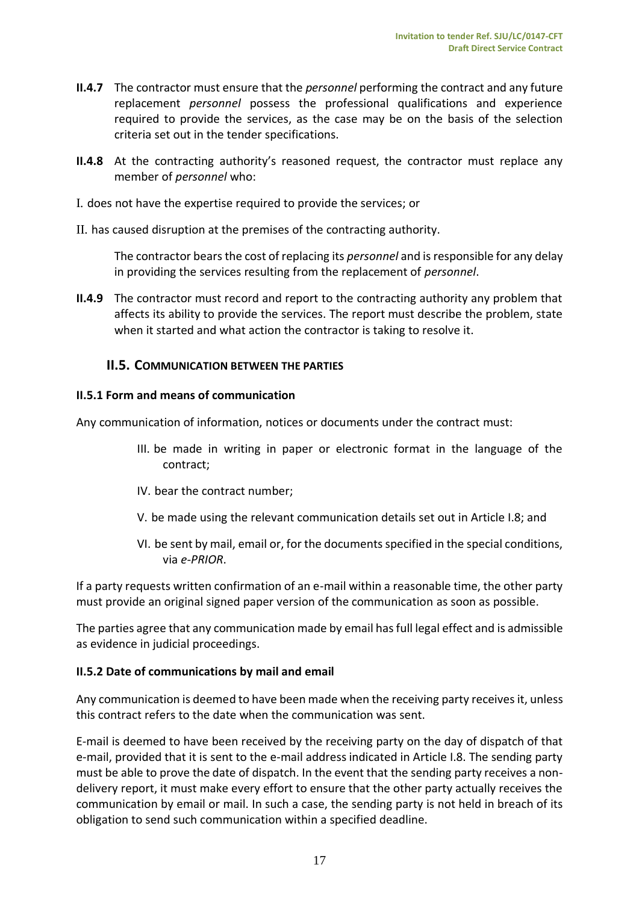- **II.4.7** The contractor must ensure that the *personnel* performing the contract and any future replacement *personnel* possess the professional qualifications and experience required to provide the services, as the case may be on the basis of the selection criteria set out in the tender specifications.
- **II.4.8** At the contracting authority's reasoned request, the contractor must replace any member of *personnel* who:
- I. does not have the expertise required to provide the services; or
- II. has caused disruption at the premises of the contracting authority.

The contractor bears the cost of replacing its *personnel* and is responsible for any delay in providing the services resulting from the replacement of *personnel*.

**II.4.9** The contractor must record and report to the contracting authority any problem that affects its ability to provide the services. The report must describe the problem, state when it started and what action the contractor is taking to resolve it.

# <span id="page-16-0"></span>**II.5. COMMUNICATION BETWEEN THE PARTIES**

#### <span id="page-16-1"></span>**II.5.1 Form and means of communication**

Any communication of information, notices or documents under the contract must:

- III. be made in writing in paper or electronic format in the language of the contract;
- IV. bear the contract number;
- V. be made using the relevant communication details set out in Article I.8; and
- VI. be sent by mail, email or, for the documents specified in the special conditions, via *e-PRIOR*.

If a party requests written confirmation of an e-mail within a reasonable time, the other party must provide an original signed paper version of the communication as soon as possible.

The parties agree that any communication made by email has full legal effect and is admissible as evidence in judicial proceedings.

## <span id="page-16-2"></span>**II.5.2 Date of communications by mail and email**

Any communication is deemed to have been made when the receiving party receives it, unless this contract refers to the date when the communication was sent.

E-mail is deemed to have been received by the receiving party on the day of dispatch of that e-mail, provided that it is sent to the e-mail address indicated in Article I.8. The sending party must be able to prove the date of dispatch. In the event that the sending party receives a nondelivery report, it must make every effort to ensure that the other party actually receives the communication by email or mail. In such a case, the sending party is not held in breach of its obligation to send such communication within a specified deadline.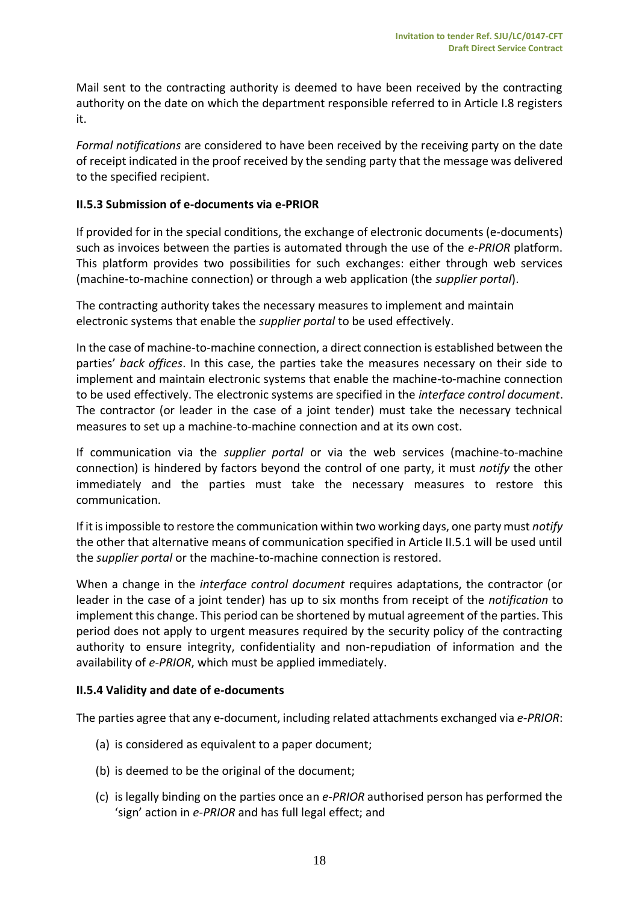Mail sent to the contracting authority is deemed to have been received by the contracting authority on the date on which the department responsible referred to in Article I.8 registers it.

*Formal notifications* are considered to have been received by the receiving party on the date of receipt indicated in the proof received by the sending party that the message was delivered to the specified recipient.

## <span id="page-17-0"></span>**II.5.3 Submission of e-documents via e-PRIOR**

If provided for in the special conditions, the exchange of electronic documents (e-documents) such as invoices between the parties is automated through the use of the *e-PRIOR* platform. This platform provides two possibilities for such exchanges: either through web services (machine-to-machine connection) or through a web application (the *supplier portal*).

The contracting authority takes the necessary measures to implement and maintain electronic systems that enable the *supplier portal* to be used effectively.

In the case of machine-to-machine connection, a direct connection is established between the parties' *back offices*. In this case, the parties take the measures necessary on their side to implement and maintain electronic systems that enable the machine-to-machine connection to be used effectively. The electronic systems are specified in the *interface control document*. The contractor (or leader in the case of a joint tender) must take the necessary technical measures to set up a machine-to-machine connection and at its own cost.

If communication via the *supplier portal* or via the web services (machine-to-machine connection) is hindered by factors beyond the control of one party, it must *notify* the other immediately and the parties must take the necessary measures to restore this communication.

If it is impossible to restore the communication within two working days, one party must *notify* the other that alternative means of communication specified in Article II.5.1 will be used until the *supplier portal* or the machine-to-machine connection is restored.

When a change in the *interface control document* requires adaptations, the contractor (or leader in the case of a joint tender) has up to six months from receipt of the *notification* to implement this change. This period can be shortened by mutual agreement of the parties. This period does not apply to urgent measures required by the security policy of the contracting authority to ensure integrity, confidentiality and non-repudiation of information and the availability of *e-PRIOR*, which must be applied immediately.

# <span id="page-17-1"></span>**II.5.4 Validity and date of e-documents**

The parties agree that any e-document, including related attachments exchanged via *e-PRIOR*:

- (a) is considered as equivalent to a paper document;
- (b) is deemed to be the original of the document;
- (c) is legally binding on the parties once an *e-PRIOR* authorised person has performed the 'sign' action in *e-PRIOR* and has full legal effect; and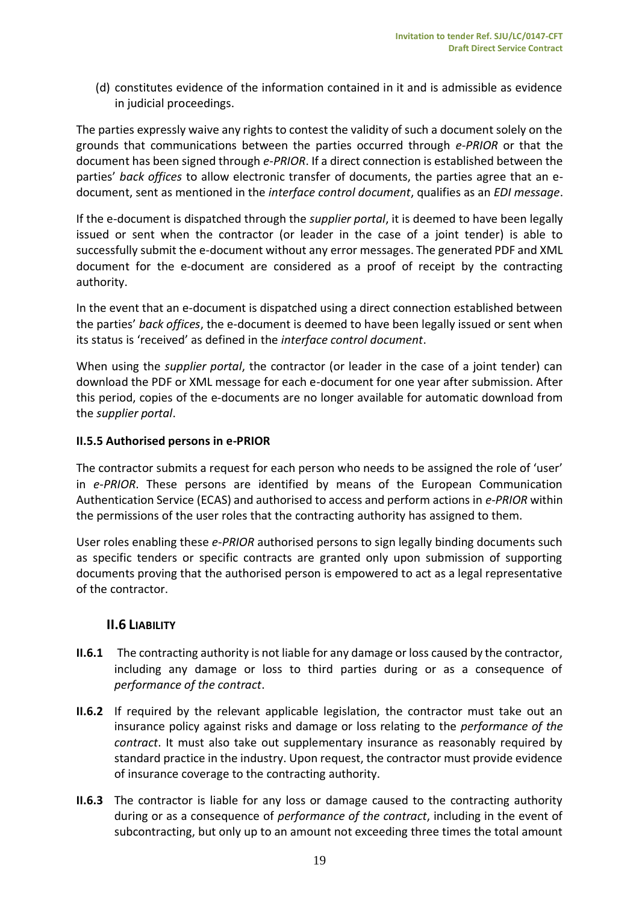(d) constitutes evidence of the information contained in it and is admissible as evidence in judicial proceedings.

The parties expressly waive any rights to contest the validity of such a document solely on the grounds that communications between the parties occurred through *e-PRIOR* or that the document has been signed through *e-PRIOR*. If a direct connection is established between the parties' *back offices* to allow electronic transfer of documents, the parties agree that an edocument, sent as mentioned in the *interface control document*, qualifies as an *EDI message*.

If the e-document is dispatched through the *supplier portal*, it is deemed to have been legally issued or sent when the contractor (or leader in the case of a joint tender) is able to successfully submit the e-document without any error messages. The generated PDF and XML document for the e-document are considered as a proof of receipt by the contracting authority.

In the event that an e-document is dispatched using a direct connection established between the parties' *back offices*, the e-document is deemed to have been legally issued or sent when its status is 'received' as defined in the *interface control document*.

When using the *supplier portal*, the contractor (or leader in the case of a joint tender) can download the PDF or XML message for each e-document for one year after submission. After this period, copies of the e-documents are no longer available for automatic download from the *supplier portal*.

## <span id="page-18-0"></span>**II.5.5 Authorised persons in e-PRIOR**

The contractor submits a request for each person who needs to be assigned the role of 'user' in *e-PRIOR*. These persons are identified by means of the European Communication Authentication Service (ECAS) and authorised to access and perform actions in *e-PRIOR* within the permissions of the user roles that the contracting authority has assigned to them.

User roles enabling these *e-PRIOR* authorised persons to sign legally binding documents such as specific tenders or specific contracts are granted only upon submission of supporting documents proving that the authorised person is empowered to act as a legal representative of the contractor.

# <span id="page-18-1"></span>**II.6 LIABILITY**

- **II.6.1** The contracting authority is not liable for any damage or loss caused by the contractor, including any damage or loss to third parties during or as a consequence of *performance of the contract*.
- **II.6.2** If required by the relevant applicable legislation, the contractor must take out an insurance policy against risks and damage or loss relating to the *performance of the contract*. It must also take out supplementary insurance as reasonably required by standard practice in the industry. Upon request, the contractor must provide evidence of insurance coverage to the contracting authority.
- **II.6.3** The contractor is liable for any loss or damage caused to the contracting authority during or as a consequence of *performance of the contract*, including in the event of subcontracting, but only up to an amount not exceeding three times the total amount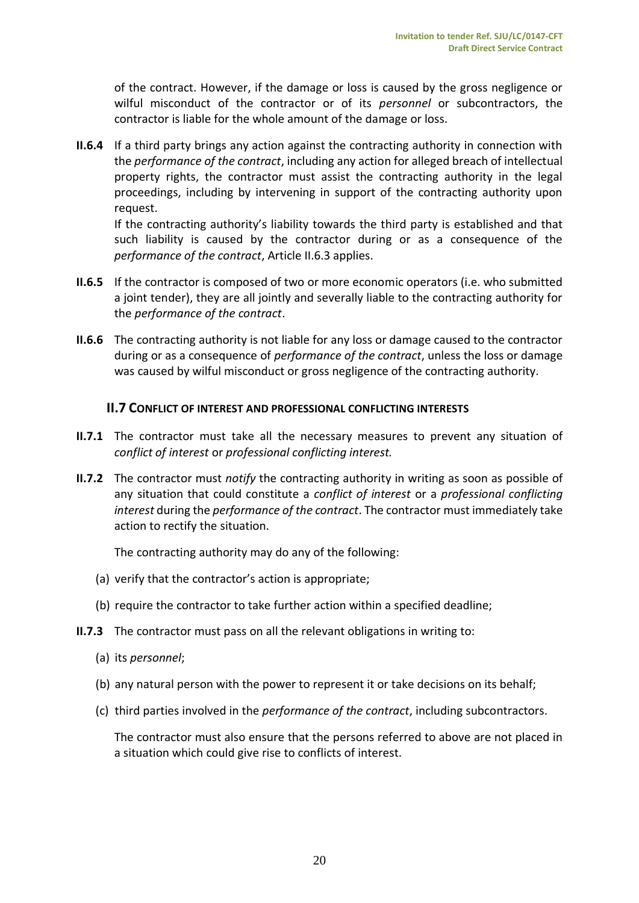of the contract. However, if the damage or loss is caused by the gross negligence or wilful misconduct of the contractor or of its *personnel* or subcontractors, the contractor is liable for the whole amount of the damage or loss.

**II.6.4** If a third party brings any action against the contracting authority in connection with the *performance of the contract*, including any action for alleged breach of intellectual property rights, the contractor must assist the contracting authority in the legal proceedings, including by intervening in support of the contracting authority upon request.

If the contracting authority's liability towards the third party is established and that such liability is caused by the contractor during or as a consequence of the *performance of the contract*, Article II.6.3 applies.

- **II.6.5** If the contractor is composed of two or more economic operators (i.e. who submitted a joint tender), they are all jointly and severally liable to the contracting authority for the *performance of the contract*.
- **II.6.6** The contracting authority is not liable for any loss or damage caused to the contractor during or as a consequence of *performance of the contract*, unless the loss or damage was caused by wilful misconduct or gross negligence of the contracting authority.

## <span id="page-19-0"></span>**II.7 CONFLICT OF INTEREST AND PROFESSIONAL CONFLICTING INTERESTS**

- **II.7.1** The contractor must take all the necessary measures to prevent any situation of *conflict of interest* or *professional conflicting interest.*
- **II.7.2** The contractor must *notify* the contracting authority in writing as soon as possible of any situation that could constitute a *conflict of interest* or a *professional conflicting interest* during the *performance of the contract*. The contractor must immediately take action to rectify the situation.

The contracting authority may do any of the following:

- (a) verify that the contractor's action is appropriate;
- (b) require the contractor to take further action within a specified deadline;
- **II.7.3** The contractor must pass on all the relevant obligations in writing to:
	- (a) its *personnel*;
	- (b) any natural person with the power to represent it or take decisions on its behalf;
	- (c) third parties involved in the *performance of the contract*, including subcontractors.

The contractor must also ensure that the persons referred to above are not placed in a situation which could give rise to conflicts of interest.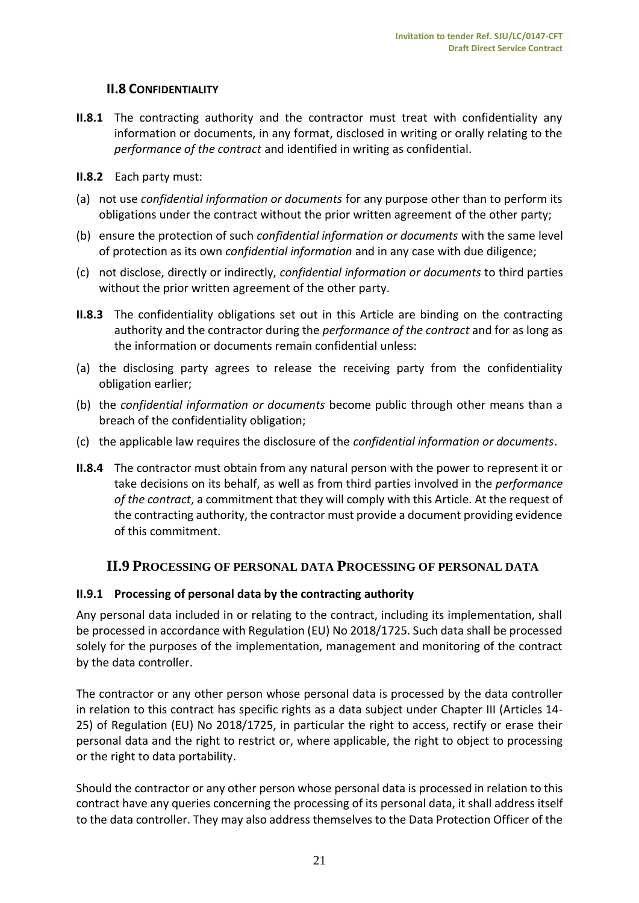# **II.8 CONFIDENTIALITY**

- <span id="page-20-0"></span>**II.8.1** The contracting authority and the contractor must treat with confidentiality any information or documents, in any format, disclosed in writing or orally relating to the *performance of the contract* and identified in writing as confidential.
- **II.8.2** Each party must:
- (a) not use *confidential information or documents* for any purpose other than to perform its obligations under the contract without the prior written agreement of the other party;
- (b) ensure the protection of such *confidential information or documents* with the same level of protection as its own *confidential information* and in any case with due diligence;
- (c) not disclose, directly or indirectly, *confidential information or documents* to third parties without the prior written agreement of the other party.
- **II.8.3** The confidentiality obligations set out in this Article are binding on the contracting authority and the contractor during the *performance of the contract* and for as long as the information or documents remain confidential unless:
- (a) the disclosing party agrees to release the receiving party from the confidentiality obligation earlier;
- (b) the *confidential information or documents* become public through other means than a breach of the confidentiality obligation;
- (c) the applicable law requires the disclosure of the *confidential information or documents*.
- **II.8.4** The contractor must obtain from any natural person with the power to represent it or take decisions on its behalf, as well as from third parties involved in the *performance of the contract*, a commitment that they will comply with this Article. At the request of the contracting authority, the contractor must provide a document providing evidence of this commitment.

## <span id="page-20-1"></span>**II.9 PROCESSING OF PERSONAL DATA PROCESSING OF PERSONAL DATA**

## **II.9.1 Processing of personal data by the contracting authority**

Any personal data included in or relating to the contract, including its implementation, shall be processed in accordance with Regulation (EU) No 2018/1725. Such data shall be processed solely for the purposes of the implementation, management and monitoring of the contract by the data controller.

The contractor or any other person whose personal data is processed by the data controller in relation to this contract has specific rights as a data subject under Chapter III (Articles 14- 25) of Regulation (EU) No 2018/1725, in particular the right to access, rectify or erase their personal data and the right to restrict or, where applicable, the right to object to processing or the right to data portability.

Should the contractor or any other person whose personal data is processed in relation to this contract have any queries concerning the processing of its personal data, it shall address itself to the data controller. They may also address themselves to the Data Protection Officer of the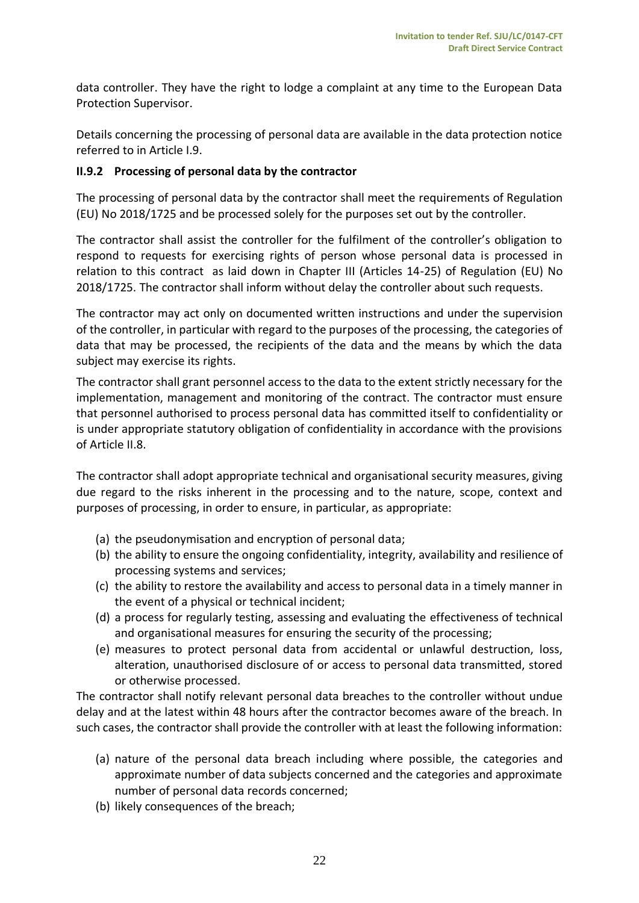data controller. They have the right to lodge a complaint at any time to the European Data Protection Supervisor.

Details concerning the processing of personal data are available in the data protection notice referred to in Article I.9.

#### **II.9.2 Processing of personal data by the contractor**

The processing of personal data by the contractor shall meet the requirements of Regulation (EU) No 2018/1725 and be processed solely for the purposes set out by the controller.

The contractor shall assist the controller for the fulfilment of the controller's obligation to respond to requests for exercising rights of person whose personal data is processed in relation to this contract as laid down in Chapter III (Articles 14-25) of Regulation (EU) No 2018/1725. The contractor shall inform without delay the controller about such requests.

The contractor may act only on documented written instructions and under the supervision of the controller, in particular with regard to the purposes of the processing, the categories of data that may be processed, the recipients of the data and the means by which the data subject may exercise its rights.

The contractor shall grant personnel access to the data to the extent strictly necessary for the implementation, management and monitoring of the contract. The contractor must ensure that personnel authorised to process personal data has committed itself to confidentiality or is under appropriate statutory obligation of confidentiality in accordance with the provisions of Article II.8.

The contractor shall adopt appropriate technical and organisational security measures, giving due regard to the risks inherent in the processing and to the nature, scope, context and purposes of processing, in order to ensure, in particular, as appropriate:

- (a) the pseudonymisation and encryption of personal data;
- (b) the ability to ensure the ongoing confidentiality, integrity, availability and resilience of processing systems and services;
- (c) the ability to restore the availability and access to personal data in a timely manner in the event of a physical or technical incident;
- (d) a process for regularly testing, assessing and evaluating the effectiveness of technical and organisational measures for ensuring the security of the processing;
- (e) measures to protect personal data from accidental or unlawful destruction, loss, alteration, unauthorised disclosure of or access to personal data transmitted, stored or otherwise processed.

The contractor shall notify relevant personal data breaches to the controller without undue delay and at the latest within 48 hours after the contractor becomes aware of the breach. In such cases, the contractor shall provide the controller with at least the following information:

- (a) nature of the personal data breach including where possible, the categories and approximate number of data subjects concerned and the categories and approximate number of personal data records concerned;
- (b) likely consequences of the breach;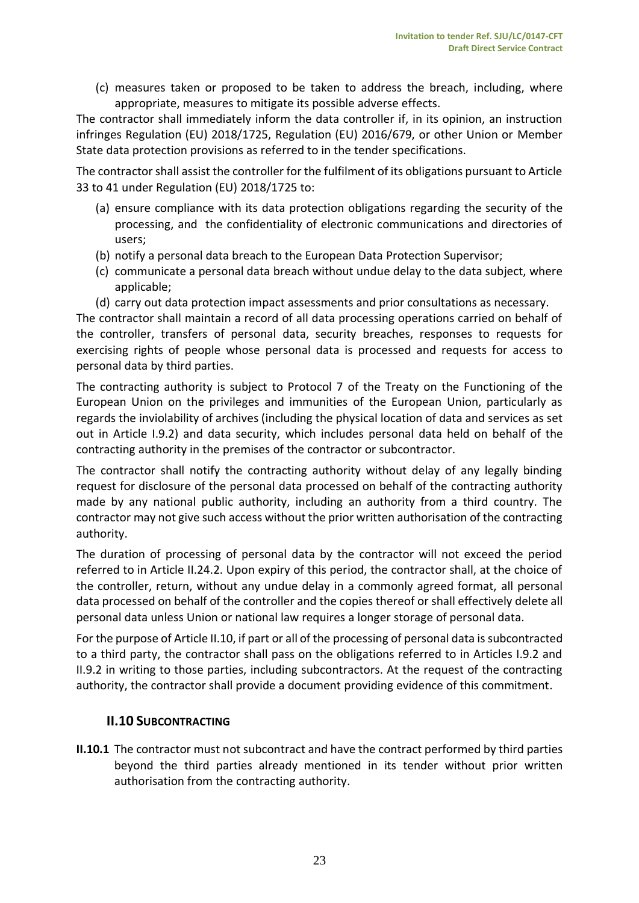(c) measures taken or proposed to be taken to address the breach, including, where appropriate, measures to mitigate its possible adverse effects.

The contractor shall immediately inform the data controller if, in its opinion, an instruction infringes Regulation (EU) 2018/1725, Regulation (EU) 2016/679, or other Union or Member State data protection provisions as referred to in the tender specifications.

The contractor shall assist the controller for the fulfilment of its obligations pursuant to Article 33 to 41 under Regulation (EU) 2018/1725 to:

- (a) ensure compliance with its data protection obligations regarding the security of the processing, and the confidentiality of electronic communications and directories of users;
- (b) notify a personal data breach to the European Data Protection Supervisor;
- (c) communicate a personal data breach without undue delay to the data subject, where applicable;
- (d) carry out data protection impact assessments and prior consultations as necessary.

The contractor shall maintain a record of all data processing operations carried on behalf of the controller, transfers of personal data, security breaches, responses to requests for exercising rights of people whose personal data is processed and requests for access to personal data by third parties.

The contracting authority is subject to Protocol 7 of the Treaty on the Functioning of the European Union on the privileges and immunities of the European Union, particularly as regards the inviolability of archives (including the physical location of data and services as set out in Article I.9.2) and data security, which includes personal data held on behalf of the contracting authority in the premises of the contractor or subcontractor.

The contractor shall notify the contracting authority without delay of any legally binding request for disclosure of the personal data processed on behalf of the contracting authority made by any national public authority, including an authority from a third country. The contractor may not give such access without the prior written authorisation of the contracting authority.

The duration of processing of personal data by the contractor will not exceed the period referred to in Article II.24.2. Upon expiry of this period, the contractor shall, at the choice of the controller, return, without any undue delay in a commonly agreed format, all personal data processed on behalf of the controller and the copies thereof or shall effectively delete all personal data unless Union or national law requires a longer storage of personal data.

For the purpose of Article II.10, if part or all of the processing of personal data is subcontracted to a third party, the contractor shall pass on the obligations referred to in Articles I.9.2 and II.9.2 in writing to those parties, including subcontractors. At the request of the contracting authority, the contractor shall provide a document providing evidence of this commitment.

## <span id="page-22-0"></span>**II.10 SUBCONTRACTING**

**II.10.1** The contractor must not subcontract and have the contract performed by third parties beyond the third parties already mentioned in its tender without prior written authorisation from the contracting authority.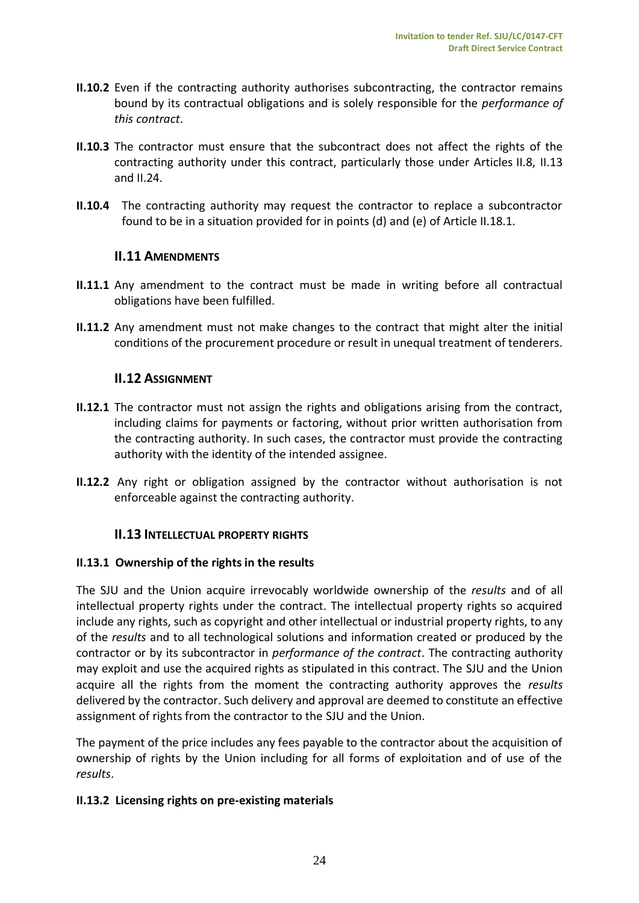- **II.10.2** Even if the contracting authority authorises subcontracting, the contractor remains bound by its contractual obligations and is solely responsible for the *performance of this contract*.
- **II.10.3** The contractor must ensure that the subcontract does not affect the rights of the contracting authority under this contract, particularly those under Articles II.8, II.13 and II.24.
- <span id="page-23-0"></span>**II.10.4** The contracting authority may request the contractor to replace a subcontractor found to be in a situation provided for in points (d) and (e) of Article II.18.1.

## **II.11 AMENDMENTS**

- **II.11.1** Any amendment to the contract must be made in writing before all contractual obligations have been fulfilled.
- <span id="page-23-1"></span>**II.11.2** Any amendment must not make changes to the contract that might alter the initial conditions of the procurement procedure or result in unequal treatment of tenderers.

## **II.12 ASSIGNMENT**

- **II.12.1** The contractor must not assign the rights and obligations arising from the contract, including claims for payments or factoring, without prior written authorisation from the contracting authority. In such cases, the contractor must provide the contracting authority with the identity of the intended assignee.
- <span id="page-23-2"></span>**II.12.2** Any right or obligation assigned by the contractor without authorisation is not enforceable against the contracting authority.

## **II.13 INTELLECTUAL PROPERTY RIGHTS**

## **II.13.1 Ownership of the rights in the results**

The SJU and the Union acquire irrevocably worldwide ownership of the *results* and of all intellectual property rights under the contract. The intellectual property rights so acquired include any rights, such as copyright and other intellectual or industrial property rights, to any of the *results* and to all technological solutions and information created or produced by the contractor or by its subcontractor in *performance of the contract*. The contracting authority may exploit and use the acquired rights as stipulated in this contract. The SJU and the Union acquire all the rights from the moment the contracting authority approves the *results* delivered by the contractor. Such delivery and approval are deemed to constitute an effective assignment of rights from the contractor to the SJU and the Union.

The payment of the price includes any fees payable to the contractor about the acquisition of ownership of rights by the Union including for all forms of exploitation and of use of the *results*.

## **II.13.2 Licensing rights on pre-existing materials**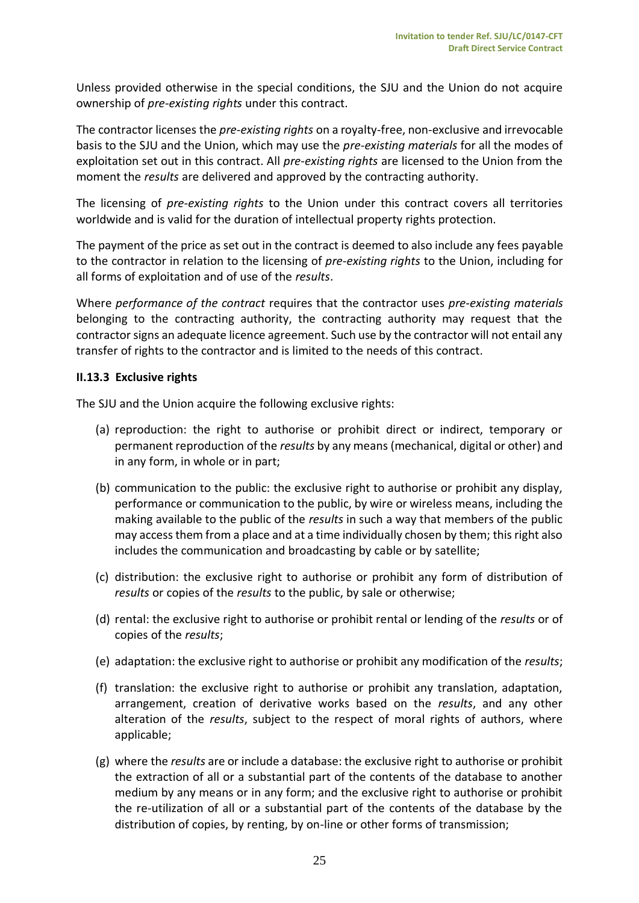Unless provided otherwise in the special conditions, the SJU and the Union do not acquire ownership of *pre-existing rights* under this contract.

The contractor licenses the *pre-existing rights* on a royalty-free, non-exclusive and irrevocable basis to the SJU and the Union, which may use the *pre-existing materials* for all the modes of exploitation set out in this contract. All *pre-existing rights* are licensed to the Union from the moment the *results* are delivered and approved by the contracting authority.

The licensing of *pre-existing rights* to the Union under this contract covers all territories worldwide and is valid for the duration of intellectual property rights protection.

The payment of the price as set out in the contract is deemed to also include any fees payable to the contractor in relation to the licensing of *pre-existing rights* to the Union, including for all forms of exploitation and of use of the *results*.

Where *performance of the contract* requires that the contractor uses *pre-existing materials* belonging to the contracting authority, the contracting authority may request that the contractor signs an adequate licence agreement. Such use by the contractor will not entail any transfer of rights to the contractor and is limited to the needs of this contract.

#### **II.13.3 Exclusive rights**

The SJU and the Union acquire the following exclusive rights:

- (a) reproduction: the right to authorise or prohibit direct or indirect, temporary or permanent reproduction of the *results* by any means (mechanical, digital or other) and in any form, in whole or in part;
- (b) communication to the public: the exclusive right to authorise or prohibit any display, performance or communication to the public, by wire or wireless means, including the making available to the public of the *results* in such a way that members of the public may access them from a place and at a time individually chosen by them; this right also includes the communication and broadcasting by cable or by satellite;
- (c) distribution: the exclusive right to authorise or prohibit any form of distribution of *results* or copies of the *results* to the public, by sale or otherwise;
- (d) rental: the exclusive right to authorise or prohibit rental or lending of the *results* or of copies of the *results*;
- (e) adaptation: the exclusive right to authorise or prohibit any modification of the *results*;
- (f) translation: the exclusive right to authorise or prohibit any translation, adaptation, arrangement, creation of derivative works based on the *results*, and any other alteration of the *results*, subject to the respect of moral rights of authors, where applicable;
- (g) where the *results* are or include a database: the exclusive right to authorise or prohibit the extraction of all or a substantial part of the contents of the database to another medium by any means or in any form; and the exclusive right to authorise or prohibit the re-utilization of all or a substantial part of the contents of the database by the distribution of copies, by renting, by on-line or other forms of transmission;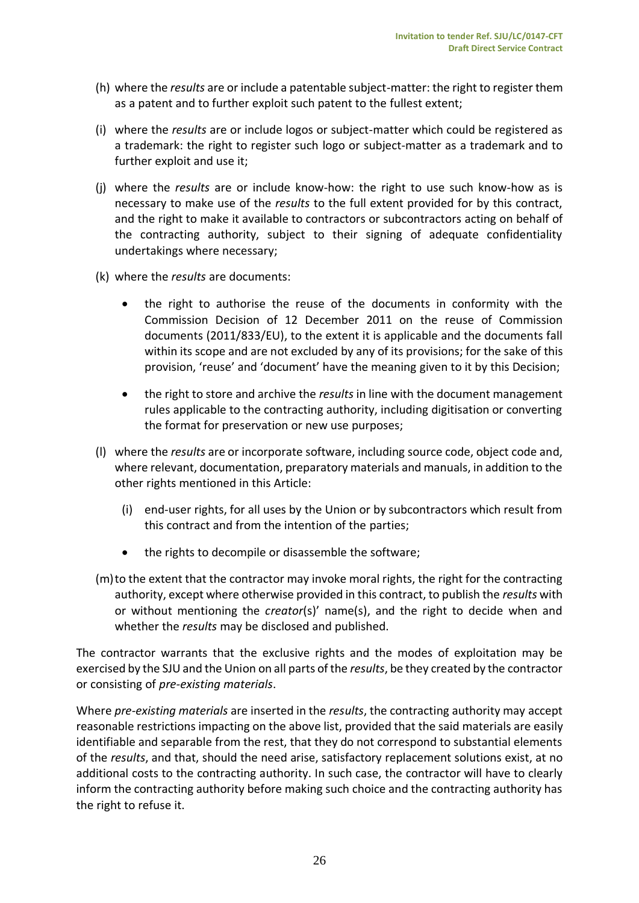- (h) where the *results* are or include a patentable subject-matter: the right to register them as a patent and to further exploit such patent to the fullest extent;
- (i) where the *results* are or include logos or subject-matter which could be registered as a trademark: the right to register such logo or subject-matter as a trademark and to further exploit and use it;
- (j) where the *results* are or include know-how: the right to use such know-how as is necessary to make use of the *results* to the full extent provided for by this contract, and the right to make it available to contractors or subcontractors acting on behalf of the contracting authority, subject to their signing of adequate confidentiality undertakings where necessary;
- (k) where the *results* are documents:
	- the right to authorise the reuse of the documents in conformity with the Commission Decision of 12 December 2011 on the reuse of Commission documents (2011/833/EU), to the extent it is applicable and the documents fall within its scope and are not excluded by any of its provisions; for the sake of this provision, 'reuse' and 'document' have the meaning given to it by this Decision;
	- the right to store and archive the *results* in line with the document management rules applicable to the contracting authority, including digitisation or converting the format for preservation or new use purposes;
- (l) where the *results* are or incorporate software, including source code, object code and, where relevant, documentation, preparatory materials and manuals, in addition to the other rights mentioned in this Article:
	- (i) end-user rights, for all uses by the Union or by subcontractors which result from this contract and from the intention of the parties;
	- the rights to decompile or disassemble the software;
- (m)to the extent that the contractor may invoke moral rights, the right for the contracting authority, except where otherwise provided in this contract, to publish the *results* with or without mentioning the *creator*(s)' name(s), and the right to decide when and whether the *results* may be disclosed and published.

The contractor warrants that the exclusive rights and the modes of exploitation may be exercised by the SJU and the Union on all parts of the *results*, be they created by the contractor or consisting of *pre-existing materials*.

Where *pre-existing materials* are inserted in the *results*, the contracting authority may accept reasonable restrictions impacting on the above list, provided that the said materials are easily identifiable and separable from the rest, that they do not correspond to substantial elements of the *results*, and that, should the need arise, satisfactory replacement solutions exist, at no additional costs to the contracting authority. In such case, the contractor will have to clearly inform the contracting authority before making such choice and the contracting authority has the right to refuse it.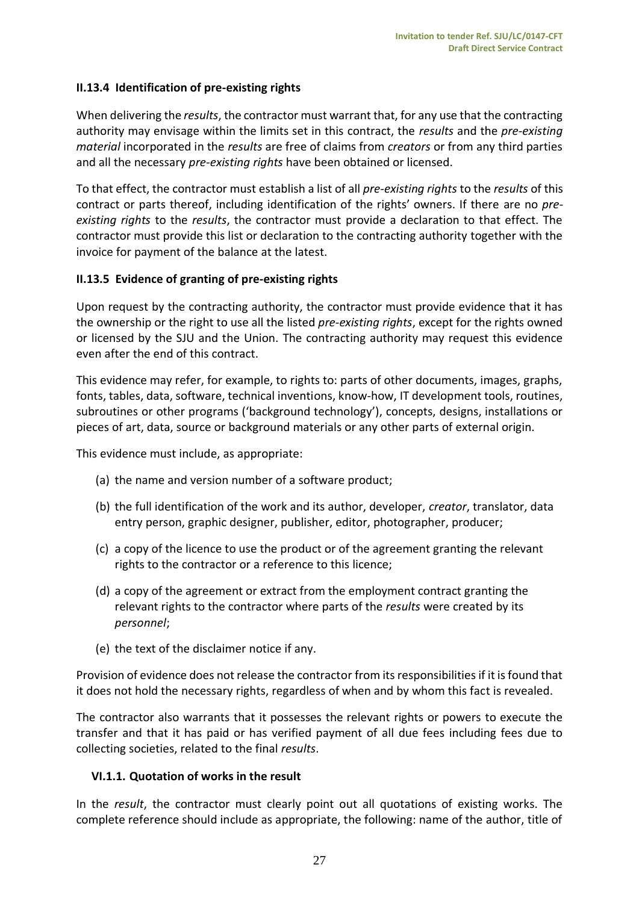## <span id="page-26-0"></span>**II.13.4 Identification of pre-existing rights**

When delivering the *results*, the contractor must warrant that, for any use that the contracting authority may envisage within the limits set in this contract, the *results* and the *pre-existing material* incorporated in the *results* are free of claims from *creators* or from any third parties and all the necessary *pre-existing rights* have been obtained or licensed.

To that effect, the contractor must establish a list of all *pre-existing rights* to the *results* of this contract or parts thereof, including identification of the rights' owners. If there are no *preexisting rights* to the *results*, the contractor must provide a declaration to that effect. The contractor must provide this list or declaration to the contracting authority together with the invoice for payment of the balance at the latest.

## <span id="page-26-1"></span>**II.13.5 Evidence of granting of pre-existing rights**

Upon request by the contracting authority, the contractor must provide evidence that it has the ownership or the right to use all the listed *pre-existing rights*, except for the rights owned or licensed by the SJU and the Union. The contracting authority may request this evidence even after the end of this contract.

This evidence may refer, for example, to rights to: parts of other documents, images, graphs, fonts, tables, data, software, technical inventions, know-how, IT development tools, routines, subroutines or other programs ('background technology'), concepts, designs, installations or pieces of art, data, source or background materials or any other parts of external origin.

This evidence must include, as appropriate:

- (a) the name and version number of a software product;
- (b) the full identification of the work and its author, developer, *creator*, translator, data entry person, graphic designer, publisher, editor, photographer, producer;
- (c) a copy of the licence to use the product or of the agreement granting the relevant rights to the contractor or a reference to this licence;
- (d) a copy of the agreement or extract from the employment contract granting the relevant rights to the contractor where parts of the *results* were created by its *personnel*;
- (e) the text of the disclaimer notice if any.

Provision of evidence does not release the contractor from its responsibilities if it is found that it does not hold the necessary rights, regardless of when and by whom this fact is revealed.

The contractor also warrants that it possesses the relevant rights or powers to execute the transfer and that it has paid or has verified payment of all due fees including fees due to collecting societies, related to the final *results*.

## <span id="page-26-2"></span>**VI.1.1. Quotation of works in the result**

In the *result*, the contractor must clearly point out all quotations of existing works. The complete reference should include as appropriate, the following: name of the author, title of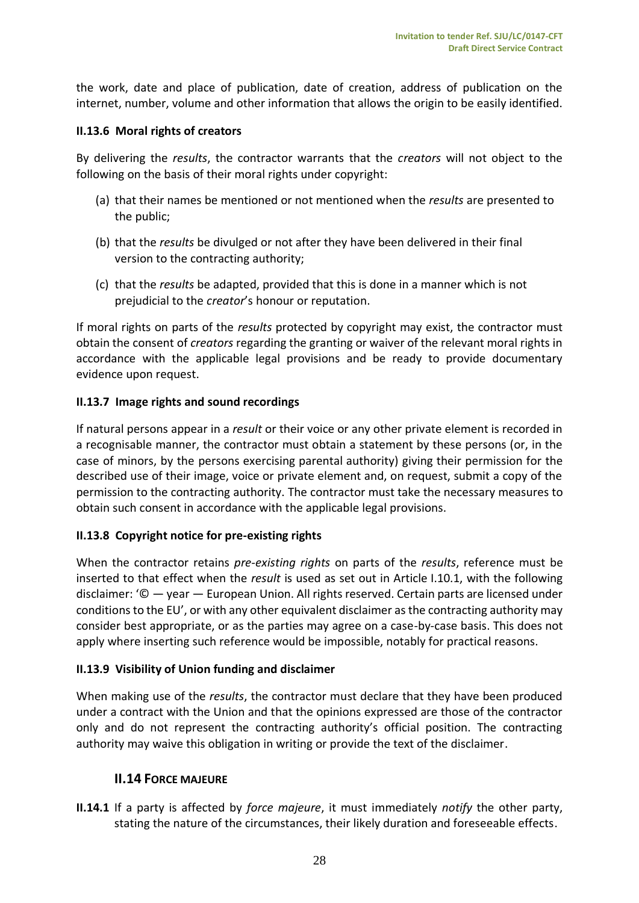the work, date and place of publication, date of creation, address of publication on the internet, number, volume and other information that allows the origin to be easily identified.

## <span id="page-27-0"></span>**II.13.6 Moral rights of creators**

By delivering the *results*, the contractor warrants that the *creators* will not object to the following on the basis of their moral rights under copyright:

- (a) that their names be mentioned or not mentioned when the *results* are presented to the public;
- (b) that the *results* be divulged or not after they have been delivered in their final version to the contracting authority;
- (c) that the *results* be adapted, provided that this is done in a manner which is not prejudicial to the *creator*'s honour or reputation.

If moral rights on parts of the *results* protected by copyright may exist, the contractor must obtain the consent of *creators* regarding the granting or waiver of the relevant moral rights in accordance with the applicable legal provisions and be ready to provide documentary evidence upon request.

# <span id="page-27-1"></span>**II.13.7 Image rights and sound recordings**

If natural persons appear in a *result* or their voice or any other private element is recorded in a recognisable manner, the contractor must obtain a statement by these persons (or, in the case of minors, by the persons exercising parental authority) giving their permission for the described use of their image, voice or private element and, on request, submit a copy of the permission to the contracting authority. The contractor must take the necessary measures to obtain such consent in accordance with the applicable legal provisions.

# <span id="page-27-2"></span>**II.13.8 Copyright notice for pre-existing rights**

When the contractor retains *pre-existing rights* on parts of the *results*, reference must be inserted to that effect when the *result* is used as set out in Article I.10.1, with the following disclaimer: '© — year — European Union. All rights reserved. Certain parts are licensed under conditions to the EU', or with any other equivalent disclaimer as the contracting authority may consider best appropriate, or as the parties may agree on a case-by-case basis. This does not apply where inserting such reference would be impossible, notably for practical reasons.

# <span id="page-27-3"></span>**II.13.9 Visibility of Union funding and disclaimer**

When making use of the *results*, the contractor must declare that they have been produced under a contract with the Union and that the opinions expressed are those of the contractor only and do not represent the contracting authority's official position. The contracting authority may waive this obligation in writing or provide the text of the disclaimer.

# <span id="page-27-4"></span>**II.14 FORCE MAJEURE**

**II.14.1** If a party is affected by *force majeure*, it must immediately *notify* the other party, stating the nature of the circumstances, their likely duration and foreseeable effects.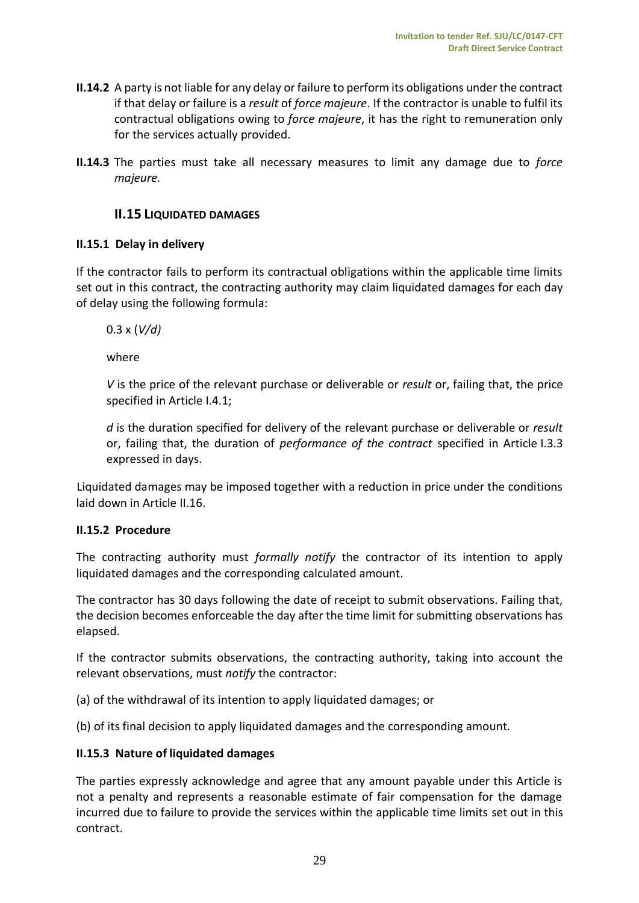- **II.14.2** A party is not liable for any delay or failure to perform its obligations under the contract if that delay or failure is a *result* of *force majeure*. If the contractor is unable to fulfil its contractual obligations owing to *force majeure*, it has the right to remuneration only for the services actually provided.
- <span id="page-28-0"></span>**II.14.3** The parties must take all necessary measures to limit any damage due to *force majeure.*

# **II.15 LIQUIDATED DAMAGES**

#### <span id="page-28-1"></span>**II.15.1 Delay in delivery**

If the contractor fails to perform its contractual obligations within the applicable time limits set out in this contract, the contracting authority may claim liquidated damages for each day of delay using the following formula:

0.3 x (*V/d)*

where

*V* is the price of the relevant purchase or deliverable or *result* or, failing that, the price specified in Article I.4.1;

*d* is the duration specified for delivery of the relevant purchase or deliverable or *result* or, failing that, the duration of *performance of the contract* specified in Article I.3.3 expressed in days.

Liquidated damages may be imposed together with a reduction in price under the conditions laid down in Article II.16.

## <span id="page-28-2"></span>**II.15.2 Procedure**

The contracting authority must *formally notify* the contractor of its intention to apply liquidated damages and the corresponding calculated amount.

The contractor has 30 days following the date of receipt to submit observations. Failing that, the decision becomes enforceable the day after the time limit for submitting observations has elapsed.

If the contractor submits observations, the contracting authority, taking into account the relevant observations, must *notify* the contractor:

(a) of the withdrawal of its intention to apply liquidated damages; or

(b) of its final decision to apply liquidated damages and the corresponding amount.

#### <span id="page-28-3"></span>**II.15.3 Nature of liquidated damages**

The parties expressly acknowledge and agree that any amount payable under this Article is not a penalty and represents a reasonable estimate of fair compensation for the damage incurred due to failure to provide the services within the applicable time limits set out in this contract.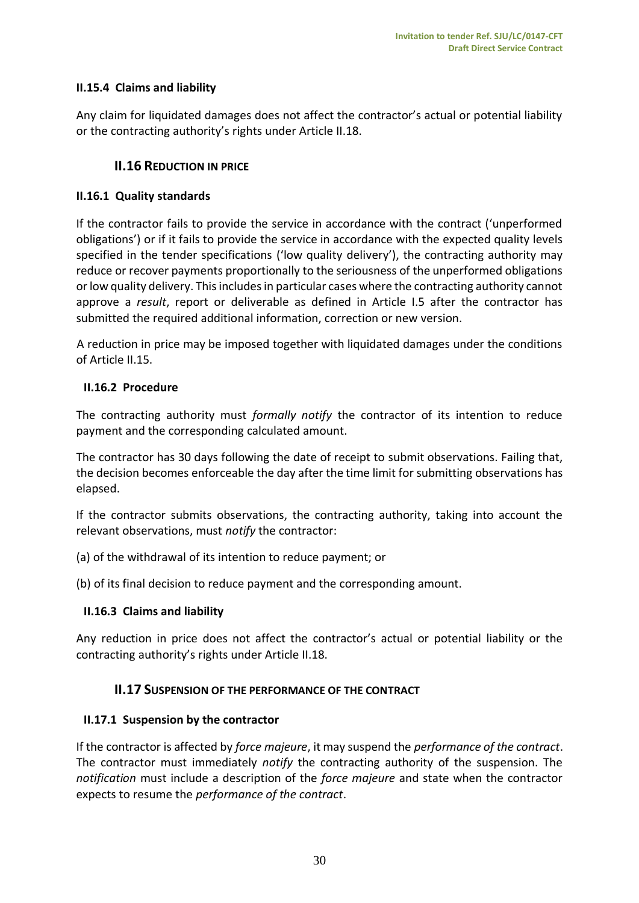# <span id="page-29-0"></span>**II.15.4 Claims and liability**

<span id="page-29-1"></span>Any claim for liquidated damages does not affect the contractor's actual or potential liability or the contracting authority's rights under Article II.18.

# **II.16 REDUCTION IN PRICE**

## <span id="page-29-2"></span>**II.16.1 Quality standards**

If the contractor fails to provide the service in accordance with the contract ('unperformed obligations') or if it fails to provide the service in accordance with the expected quality levels specified in the tender specifications ('low quality delivery'), the contracting authority may reduce or recover payments proportionally to the seriousness of the unperformed obligations or low quality delivery. This includes in particular cases where the contracting authority cannot approve a *result*, report or deliverable as defined in Article I.5 after the contractor has submitted the required additional information, correction or new version.

A reduction in price may be imposed together with liquidated damages under the conditions of Article II.15.

## <span id="page-29-3"></span>**II.16.2 Procedure**

The contracting authority must *formally notify* the contractor of its intention to reduce payment and the corresponding calculated amount.

The contractor has 30 days following the date of receipt to submit observations. Failing that, the decision becomes enforceable the day after the time limit for submitting observations has elapsed.

If the contractor submits observations, the contracting authority, taking into account the relevant observations, must *notify* the contractor:

(a) of the withdrawal of its intention to reduce payment; or

(b) of its final decision to reduce payment and the corresponding amount.

# <span id="page-29-4"></span>**II.16.3 Claims and liability**

<span id="page-29-5"></span>Any reduction in price does not affect the contractor's actual or potential liability or the contracting authority's rights under Article II.18.

# **II.17 SUSPENSION OF THE PERFORMANCE OF THE CONTRACT**

## <span id="page-29-6"></span>**II.17.1 Suspension by the contractor**

If the contractor is affected by *force majeure*, it may suspend the *performance of the contract*. The contractor must immediately *notify* the contracting authority of the suspension. The *notification* must include a description of the *force majeure* and state when the contractor expects to resume the *performance of the contract*.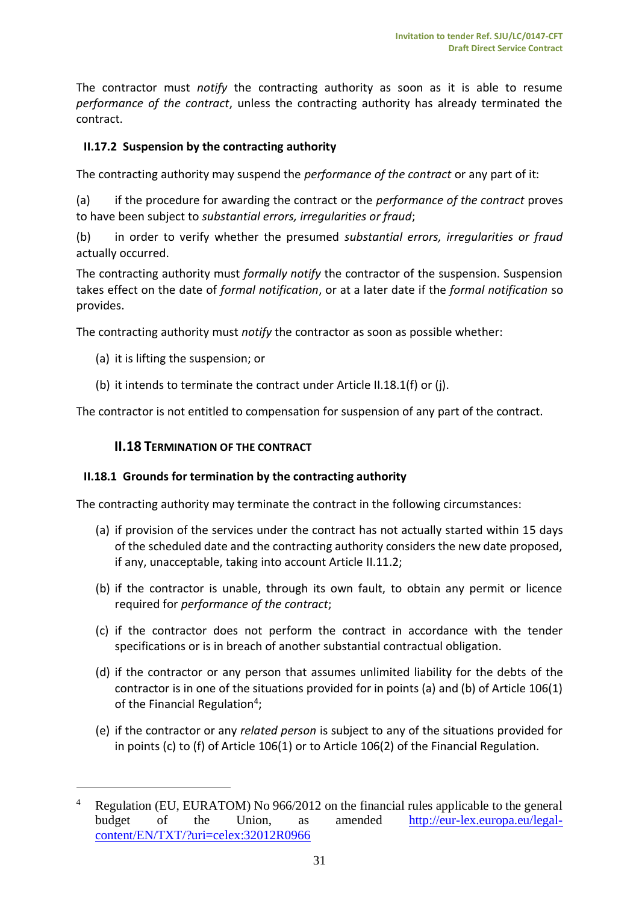The contractor must *notify* the contracting authority as soon as it is able to resume *performance of the contract*, unless the contracting authority has already terminated the contract.

# <span id="page-30-0"></span>**II.17.2 Suspension by the contracting authority**

The contracting authority may suspend the *performance of the contract* or any part of it:

(a) if the procedure for awarding the contract or the *performance of the contract* proves to have been subject to *substantial errors, irregularities or fraud*;

(b) in order to verify whether the presumed *substantial errors, irregularities or fraud* actually occurred.

The contracting authority must *formally notify* the contractor of the suspension. Suspension takes effect on the date of *formal notification*, or at a later date if the *formal notification* so provides.

The contracting authority must *notify* the contractor as soon as possible whether:

(a) it is lifting the suspension; or

 $\overline{a}$ 

(b) it intends to terminate the contract under Article II.18.1(f) or (j).

<span id="page-30-1"></span>The contractor is not entitled to compensation for suspension of any part of the contract.

# **II.18 TERMINATION OF THE CONTRACT**

## <span id="page-30-2"></span>**II.18.1 Grounds for termination by the contracting authority**

The contracting authority may terminate the contract in the following circumstances:

- (a) if provision of the services under the contract has not actually started within 15 days of the scheduled date and the contracting authority considers the new date proposed, if any, unacceptable, taking into account Article II.11.2;
- (b) if the contractor is unable, through its own fault, to obtain any permit or licence required for *performance of the contract*;
- (c) if the contractor does not perform the contract in accordance with the tender specifications or is in breach of another substantial contractual obligation.
- (d) if the contractor or any person that assumes unlimited liability for the debts of the contractor is in one of the situations provided for in points (a) and (b) of Article 106(1) of the Financial Regulation<sup>4</sup>;
- (e) if the contractor or any *related person* is subject to any of the situations provided for in points (c) to (f) of Article 106(1) or to Article 106(2) of the Financial Regulation.

<sup>&</sup>lt;sup>4</sup> Regulation (EU, EURATOM) No 966/2012 on the financial rules applicable to the general budget of the Union, as amended [http://eur-lex.europa.eu/legal](http://eur-lex.europa.eu/legal-content/EN/TXT/?uri=celex:32012R0966)[content/EN/TXT/?uri=celex:32012R0966](http://eur-lex.europa.eu/legal-content/EN/TXT/?uri=celex:32012R0966)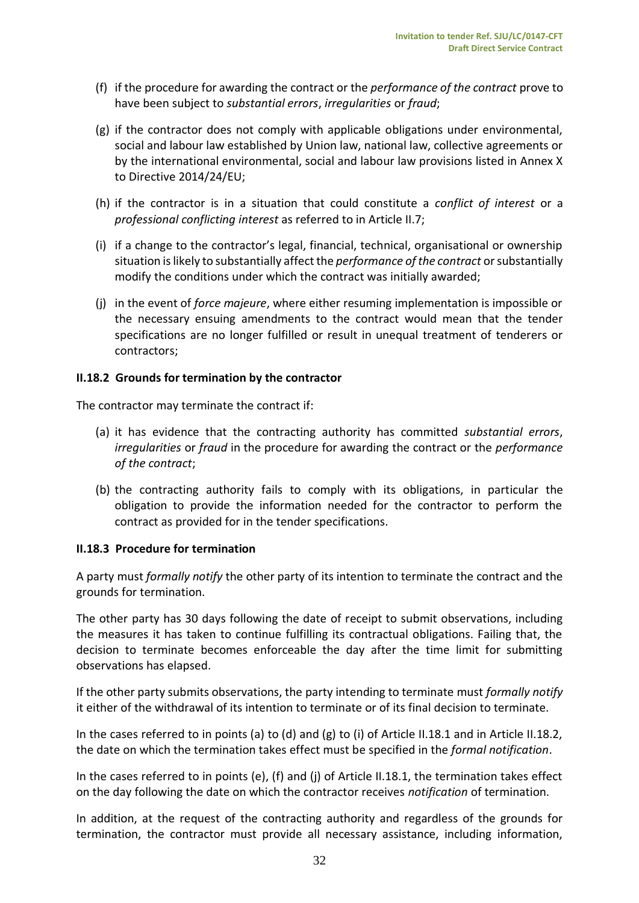- (f) if the procedure for awarding the contract or the *performance of the contract* prove to have been subject to *substantial errors*, *irregularities* or *fraud*;
- (g) if the contractor does not comply with applicable obligations under environmental, social and labour law established by Union law, national law, collective agreements or by the international environmental, social and labour law provisions listed in Annex X to Directive 2014/24/EU;
- (h) if the contractor is in a situation that could constitute a *conflict of interest* or a *professional conflicting interest* as referred to in Article II.7;
- (i) if a change to the contractor's legal, financial, technical, organisational or ownership situation is likely to substantially affect the *performance of the contract* or substantially modify the conditions under which the contract was initially awarded;
- (j) in the event of *force majeure*, where either resuming implementation is impossible or the necessary ensuing amendments to the contract would mean that the tender specifications are no longer fulfilled or result in unequal treatment of tenderers or contractors;

## <span id="page-31-0"></span>**II.18.2 Grounds for termination by the contractor**

The contractor may terminate the contract if:

- (a) it has evidence that the contracting authority has committed *substantial errors*, *irregularities* or *fraud* in the procedure for awarding the contract or the *performance of the contract*;
- (b) the contracting authority fails to comply with its obligations, in particular the obligation to provide the information needed for the contractor to perform the contract as provided for in the tender specifications.

#### <span id="page-31-1"></span>**II.18.3 Procedure for termination**

A party must *formally notify* the other party of its intention to terminate the contract and the grounds for termination.

The other party has 30 days following the date of receipt to submit observations, including the measures it has taken to continue fulfilling its contractual obligations. Failing that, the decision to terminate becomes enforceable the day after the time limit for submitting observations has elapsed.

If the other party submits observations, the party intending to terminate must *formally notify* it either of the withdrawal of its intention to terminate or of its final decision to terminate.

In the cases referred to in points (a) to (d) and (g) to (i) of Article II.18.1 and in Article II.18.2, the date on which the termination takes effect must be specified in the *formal notification*.

In the cases referred to in points (e), (f) and (j) of Article II.18.1, the termination takes effect on the day following the date on which the contractor receives *notification* of termination.

In addition, at the request of the contracting authority and regardless of the grounds for termination, the contractor must provide all necessary assistance, including information,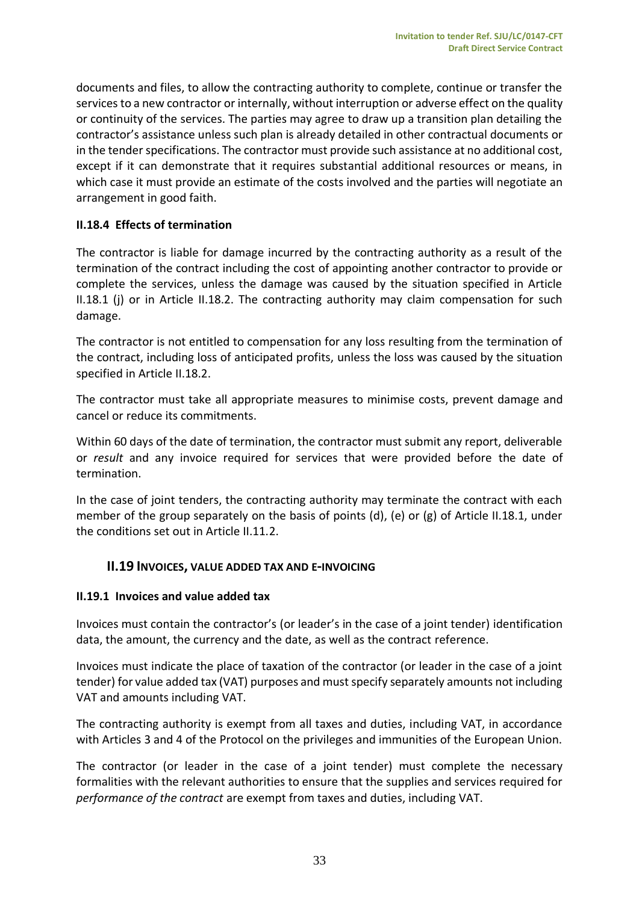documents and files, to allow the contracting authority to complete, continue or transfer the services to a new contractor or internally, without interruption or adverse effect on the quality or continuity of the services. The parties may agree to draw up a transition plan detailing the contractor's assistance unless such plan is already detailed in other contractual documents or in the tender specifications. The contractor must provide such assistance at no additional cost, except if it can demonstrate that it requires substantial additional resources or means, in which case it must provide an estimate of the costs involved and the parties will negotiate an arrangement in good faith.

# <span id="page-32-0"></span>**II.18.4 Effects of termination**

The contractor is liable for damage incurred by the contracting authority as a result of the termination of the contract including the cost of appointing another contractor to provide or complete the services, unless the damage was caused by the situation specified in Article II.18.1 (j) or in Article II.18.2. The contracting authority may claim compensation for such damage.

The contractor is not entitled to compensation for any loss resulting from the termination of the contract, including loss of anticipated profits, unless the loss was caused by the situation specified in Article II.18.2.

The contractor must take all appropriate measures to minimise costs, prevent damage and cancel or reduce its commitments.

Within 60 days of the date of termination, the contractor must submit any report, deliverable or *result* and any invoice required for services that were provided before the date of termination.

In the case of joint tenders, the contracting authority may terminate the contract with each member of the group separately on the basis of points (d), (e) or (g) of Article II.18.1, under the conditions set out in Article II.11.2.

## <span id="page-32-1"></span>**II.19 INVOICES, VALUE ADDED TAX AND E-INVOICING**

## <span id="page-32-2"></span>**II.19.1 Invoices and value added tax**

Invoices must contain the contractor's (or leader's in the case of a joint tender) identification data, the amount, the currency and the date, as well as the contract reference.

Invoices must indicate the place of taxation of the contractor (or leader in the case of a joint tender) for value added tax (VAT) purposes and must specify separately amounts not including VAT and amounts including VAT.

The contracting authority is exempt from all taxes and duties, including VAT, in accordance with Articles 3 and 4 of the Protocol on the privileges and immunities of the European Union.

The contractor (or leader in the case of a joint tender) must complete the necessary formalities with the relevant authorities to ensure that the supplies and services required for *performance of the contract* are exempt from taxes and duties, including VAT.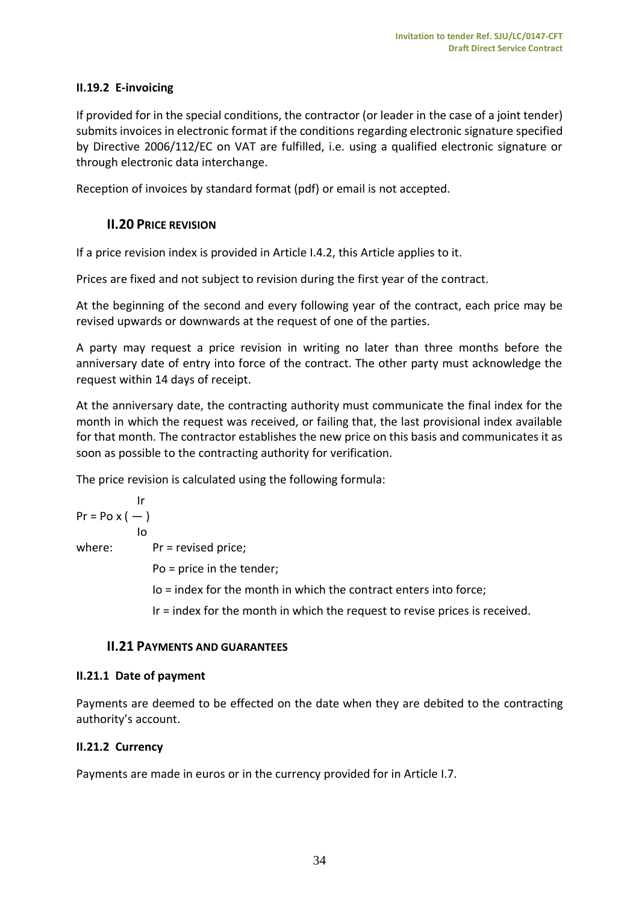# <span id="page-33-0"></span>**II.19.2 E-invoicing**

If provided for in the special conditions, the contractor (or leader in the case of a joint tender) submits invoices in electronic format if the conditions regarding electronic signature specified by Directive 2006/112/EC on VAT are fulfilled, i.e. using a qualified electronic signature or through electronic data interchange.

<span id="page-33-1"></span>Reception of invoices by standard format (pdf) or email is not accepted.

# **II.20 PRICE REVISION**

If a price revision index is provided in Article I.4.2, this Article applies to it.

Prices are fixed and not subject to revision during the first year of the contract.

At the beginning of the second and every following year of the contract, each price may be revised upwards or downwards at the request of one of the parties.

A party may request a price revision in writing no later than three months before the anniversary date of entry into force of the contract. The other party must acknowledge the request within 14 days of receipt.

At the anniversary date, the contracting authority must communicate the final index for the month in which the request was received, or failing that, the last provisional index available for that month. The contractor establishes the new price on this basis and communicates it as soon as possible to the contracting authority for verification.

The price revision is calculated using the following formula:

$$
Pr = Po \times (-)
$$
  
lo

where:  $Pr =$  revised price;

Po = price in the tender;

Io = index for the month in which the contract enters into force;

Ir = index for the month in which the request to revise prices is received.

## <span id="page-33-2"></span>**II.21 PAYMENTS AND GUARANTEES**

## <span id="page-33-3"></span>**II.21.1 Date of payment**

Payments are deemed to be effected on the date when they are debited to the contracting authority's account.

## <span id="page-33-4"></span>**II.21.2 Currency**

Payments are made in euros or in the currency provided for in Article I.7.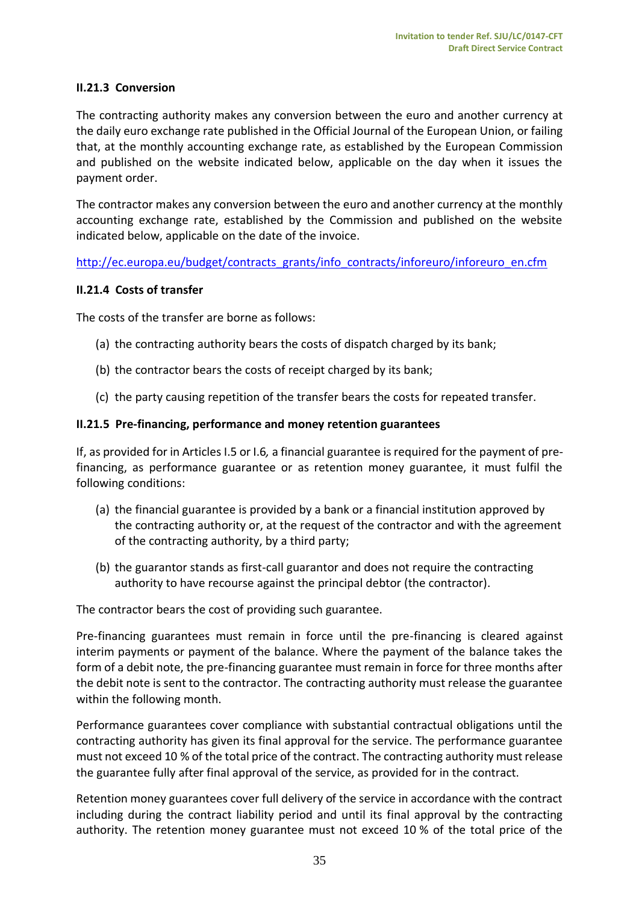## <span id="page-34-0"></span>**II.21.3 Conversion**

The contracting authority makes any conversion between the euro and another currency at the daily euro exchange rate published in the Official Journal of the European Union, or failing that, at the monthly accounting exchange rate, as established by the European Commission and published on the website indicated below, applicable on the day when it issues the payment order.

The contractor makes any conversion between the euro and another currency at the monthly accounting exchange rate, established by the Commission and published on the website indicated below, applicable on the date of the invoice.

[http://ec.europa.eu/budget/contracts\\_grants/info\\_contracts/inforeuro/inforeuro\\_en.cfm](http://ec.europa.eu/budget/contracts_grants/info_contracts/inforeuro/inforeuro_en.cfm)

#### <span id="page-34-1"></span>**II.21.4 Costs of transfer**

The costs of the transfer are borne as follows:

- (a) the contracting authority bears the costs of dispatch charged by its bank;
- (b) the contractor bears the costs of receipt charged by its bank;
- (c) the party causing repetition of the transfer bears the costs for repeated transfer.

#### <span id="page-34-2"></span>**II.21.5 Pre-financing, performance and money retention guarantees**

If, as provided for in Articles I.5 or I.6*,* a financial guarantee is required for the payment of prefinancing, as performance guarantee or as retention money guarantee, it must fulfil the following conditions:

- (a) the financial guarantee is provided by a bank or a financial institution approved by the contracting authority or, at the request of the contractor and with the agreement of the contracting authority, by a third party;
- (b) the guarantor stands as first-call guarantor and does not require the contracting authority to have recourse against the principal debtor (the contractor).

The contractor bears the cost of providing such guarantee.

Pre-financing guarantees must remain in force until the pre-financing is cleared against interim payments or payment of the balance. Where the payment of the balance takes the form of a debit note, the pre-financing guarantee must remain in force for three months after the debit note is sent to the contractor. The contracting authority must release the guarantee within the following month.

Performance guarantees cover compliance with substantial contractual obligations until the contracting authority has given its final approval for the service. The performance guarantee must not exceed 10 % of the total price of the contract. The contracting authority must release the guarantee fully after final approval of the service, as provided for in the contract.

Retention money guarantees cover full delivery of the service in accordance with the contract including during the contract liability period and until its final approval by the contracting authority. The retention money guarantee must not exceed 10 % of the total price of the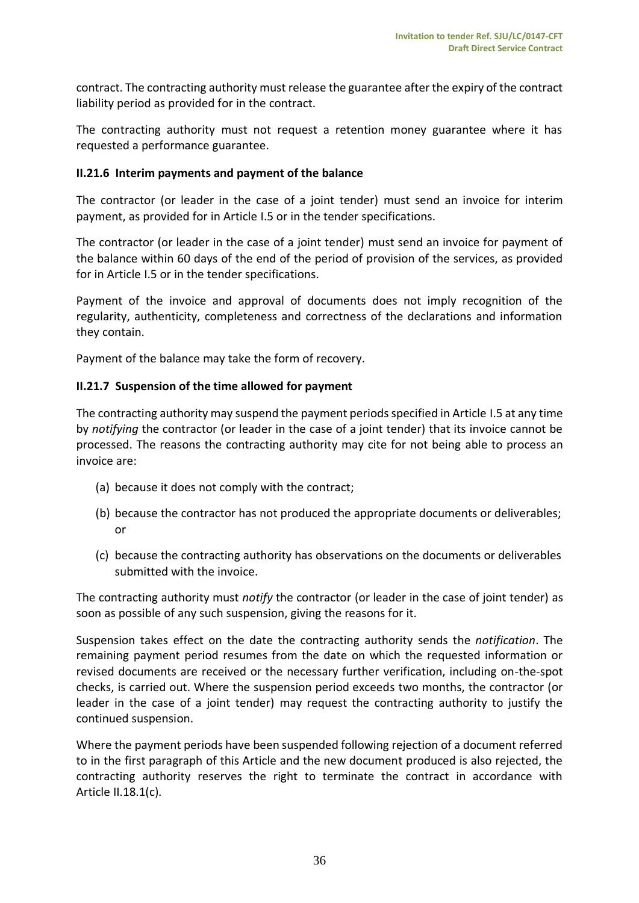contract. The contracting authority must release the guarantee after the expiry of the contract liability period as provided for in the contract.

The contracting authority must not request a retention money guarantee where it has requested a performance guarantee.

#### <span id="page-35-0"></span>**II.21.6 Interim payments and payment of the balance**

The contractor (or leader in the case of a joint tender) must send an invoice for interim payment, as provided for in Article I.5 or in the tender specifications.

The contractor (or leader in the case of a joint tender) must send an invoice for payment of the balance within 60 days of the end of the period of provision of the services, as provided for in Article I.5 or in the tender specifications.

Payment of the invoice and approval of documents does not imply recognition of the regularity, authenticity, completeness and correctness of the declarations and information they contain.

Payment of the balance may take the form of recovery.

#### <span id="page-35-1"></span>**II.21.7 Suspension of the time allowed for payment**

The contracting authority may suspend the payment periods specified in Article I.5 at any time by *notifying* the contractor (or leader in the case of a joint tender) that its invoice cannot be processed. The reasons the contracting authority may cite for not being able to process an invoice are:

- (a) because it does not comply with the contract;
- (b) because the contractor has not produced the appropriate documents or deliverables; or
- (c) because the contracting authority has observations on the documents or deliverables submitted with the invoice.

The contracting authority must *notify* the contractor (or leader in the case of joint tender) as soon as possible of any such suspension, giving the reasons for it.

Suspension takes effect on the date the contracting authority sends the *notification*. The remaining payment period resumes from the date on which the requested information or revised documents are received or the necessary further verification, including on-the-spot checks, is carried out. Where the suspension period exceeds two months, the contractor (or leader in the case of a joint tender) may request the contracting authority to justify the continued suspension.

Where the payment periods have been suspended following rejection of a document referred to in the first paragraph of this Article and the new document produced is also rejected, the contracting authority reserves the right to terminate the contract in accordance with Article II.18.1(c)*.*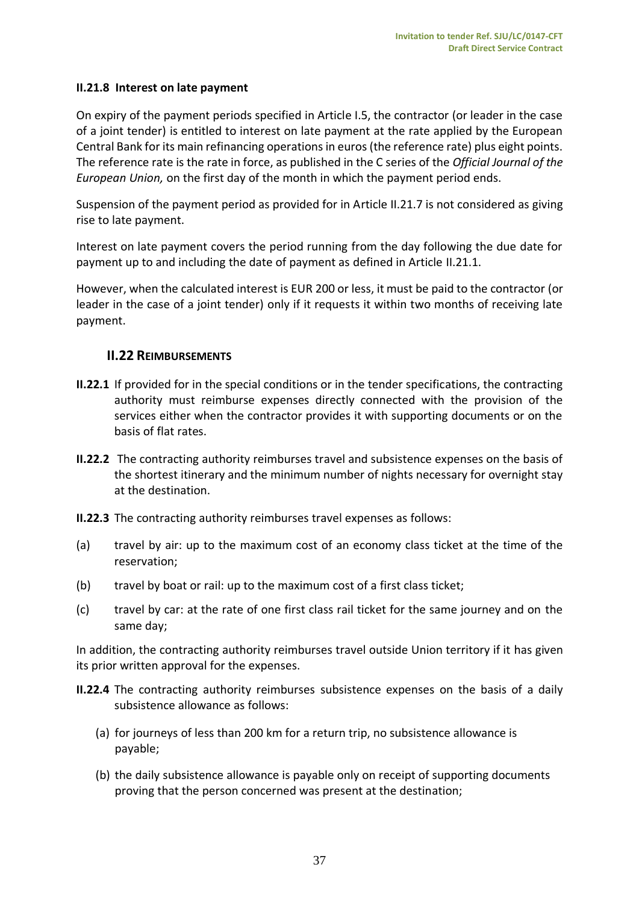## <span id="page-36-0"></span>**II.21.8 Interest on late payment**

On expiry of the payment periods specified in Article I.5, the contractor (or leader in the case of a joint tender) is entitled to interest on late payment at the rate applied by the European Central Bank for its main refinancing operations in euros (the reference rate) plus eight points. The reference rate is the rate in force, as published in the C series of the *Official Journal of the European Union,* on the first day of the month in which the payment period ends.

Suspension of the payment period as provided for in Article II.21.7 is not considered as giving rise to late payment.

Interest on late payment covers the period running from the day following the due date for payment up to and including the date of payment as defined in Article II.21.1.

However, when the calculated interest is EUR 200 or less, it must be paid to the contractor (or leader in the case of a joint tender) only if it requests it within two months of receiving late payment.

## <span id="page-36-1"></span>**II.22 REIMBURSEMENTS**

- **II.22.1** If provided for in the special conditions or in the tender specifications, the contracting authority must reimburse expenses directly connected with the provision of the services either when the contractor provides it with supporting documents or on the basis of flat rates.
- **II.22.2** The contracting authority reimburses travel and subsistence expenses on the basis of the shortest itinerary and the minimum number of nights necessary for overnight stay at the destination.
- **II.22.3** The contracting authority reimburses travel expenses as follows:
- (a) travel by air: up to the maximum cost of an economy class ticket at the time of the reservation;
- (b) travel by boat or rail: up to the maximum cost of a first class ticket;
- (c) travel by car: at the rate of one first class rail ticket for the same journey and on the same day;

In addition, the contracting authority reimburses travel outside Union territory if it has given its prior written approval for the expenses.

- **II.22.4** The contracting authority reimburses subsistence expenses on the basis of a daily subsistence allowance as follows:
	- (a) for journeys of less than 200 km for a return trip, no subsistence allowance is payable;
	- (b) the daily subsistence allowance is payable only on receipt of supporting documents proving that the person concerned was present at the destination;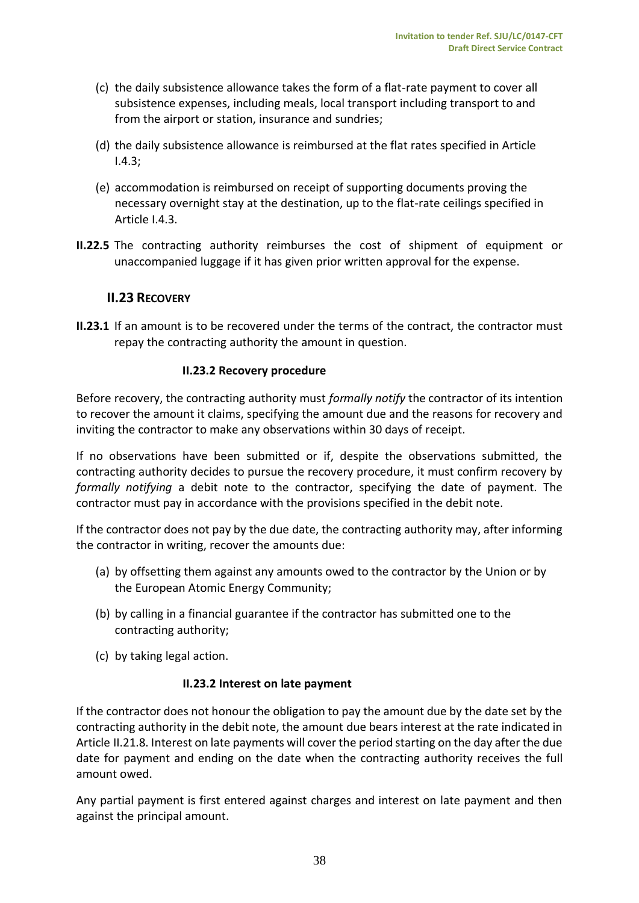- (c) the daily subsistence allowance takes the form of a flat-rate payment to cover all subsistence expenses, including meals, local transport including transport to and from the airport or station, insurance and sundries;
- (d) the daily subsistence allowance is reimbursed at the flat rates specified in Article I.4.3;
- (e) accommodation is reimbursed on receipt of supporting documents proving the necessary overnight stay at the destination, up to the flat-rate ceilings specified in Article I.4.3.
- <span id="page-37-0"></span>**II.22.5** The contracting authority reimburses the cost of shipment of equipment or unaccompanied luggage if it has given prior written approval for the expense.

# **II.23 RECOVERY**

**II.23.1** If an amount is to be recovered under the terms of the contract, the contractor must repay the contracting authority the amount in question.

## **II.23.2 Recovery procedure**

<span id="page-37-1"></span>Before recovery, the contracting authority must *formally notify* the contractor of its intention to recover the amount it claims, specifying the amount due and the reasons for recovery and inviting the contractor to make any observations within 30 days of receipt.

If no observations have been submitted or if, despite the observations submitted, the contracting authority decides to pursue the recovery procedure, it must confirm recovery by *formally notifying* a debit note to the contractor, specifying the date of payment. The contractor must pay in accordance with the provisions specified in the debit note.

If the contractor does not pay by the due date, the contracting authority may, after informing the contractor in writing, recover the amounts due:

- (a) by offsetting them against any amounts owed to the contractor by the Union or by the European Atomic Energy Community;
- (b) by calling in a financial guarantee if the contractor has submitted one to the contracting authority;
- <span id="page-37-2"></span>(c) by taking legal action.

#### **II.23.2 Interest on late payment**

If the contractor does not honour the obligation to pay the amount due by the date set by the contracting authority in the debit note, the amount due bears interest at the rate indicated in Article II.21.8. Interest on late payments will cover the period starting on the day after the due date for payment and ending on the date when the contracting authority receives the full amount owed.

Any partial payment is first entered against charges and interest on late payment and then against the principal amount.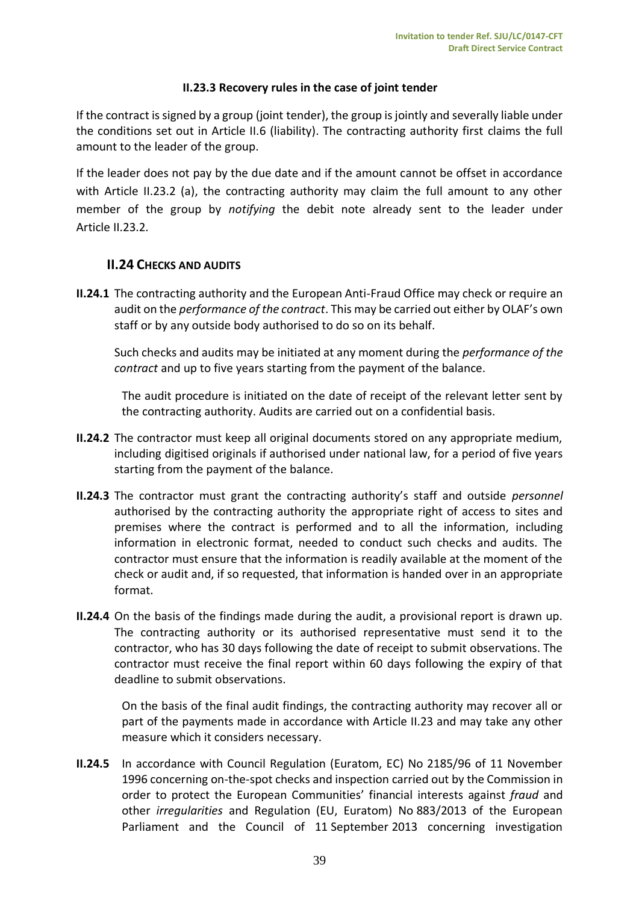## **II.23.3 Recovery rules in the case of joint tender**

<span id="page-38-0"></span>If the contract is signed by a group (joint tender), the group is jointly and severally liable under the conditions set out in Article II.6 (liability). The contracting authority first claims the full amount to the leader of the group.

If the leader does not pay by the due date and if the amount cannot be offset in accordance with Article II.23.2 (a), the contracting authority may claim the full amount to any other member of the group by *notifying* the debit note already sent to the leader under Article II.23.2.

#### <span id="page-38-1"></span>**II.24 CHECKS AND AUDITS**

**II.24.1** The contracting authority and the European Anti-Fraud Office may check or require an audit on the *performance of the contract*. This may be carried out either by OLAF's own staff or by any outside body authorised to do so on its behalf.

Such checks and audits may be initiated at any moment during the *performance of the contract* and up to five years starting from the payment of the balance.

The audit procedure is initiated on the date of receipt of the relevant letter sent by the contracting authority. Audits are carried out on a confidential basis.

- **II.24.2** The contractor must keep all original documents stored on any appropriate medium, including digitised originals if authorised under national law, for a period of five years starting from the payment of the balance.
- **II.24.3** The contractor must grant the contracting authority's staff and outside *personnel* authorised by the contracting authority the appropriate right of access to sites and premises where the contract is performed and to all the information, including information in electronic format, needed to conduct such checks and audits. The contractor must ensure that the information is readily available at the moment of the check or audit and, if so requested, that information is handed over in an appropriate format.
- **II.24.4** On the basis of the findings made during the audit, a provisional report is drawn up. The contracting authority or its authorised representative must send it to the contractor, who has 30 days following the date of receipt to submit observations. The contractor must receive the final report within 60 days following the expiry of that deadline to submit observations.

On the basis of the final audit findings, the contracting authority may recover all or part of the payments made in accordance with Article II.23 and may take any other measure which it considers necessary.

**II.24.5** In accordance with Council Regulation (Euratom, EC) No 2185/96 of 11 November 1996 concerning on-the-spot checks and inspection carried out by the Commission in order to protect the European Communities' financial interests against *fraud* and other *irregularities* and Regulation (EU, Euratom) No 883/2013 of the European Parliament and the Council of 11 September 2013 concerning investigation